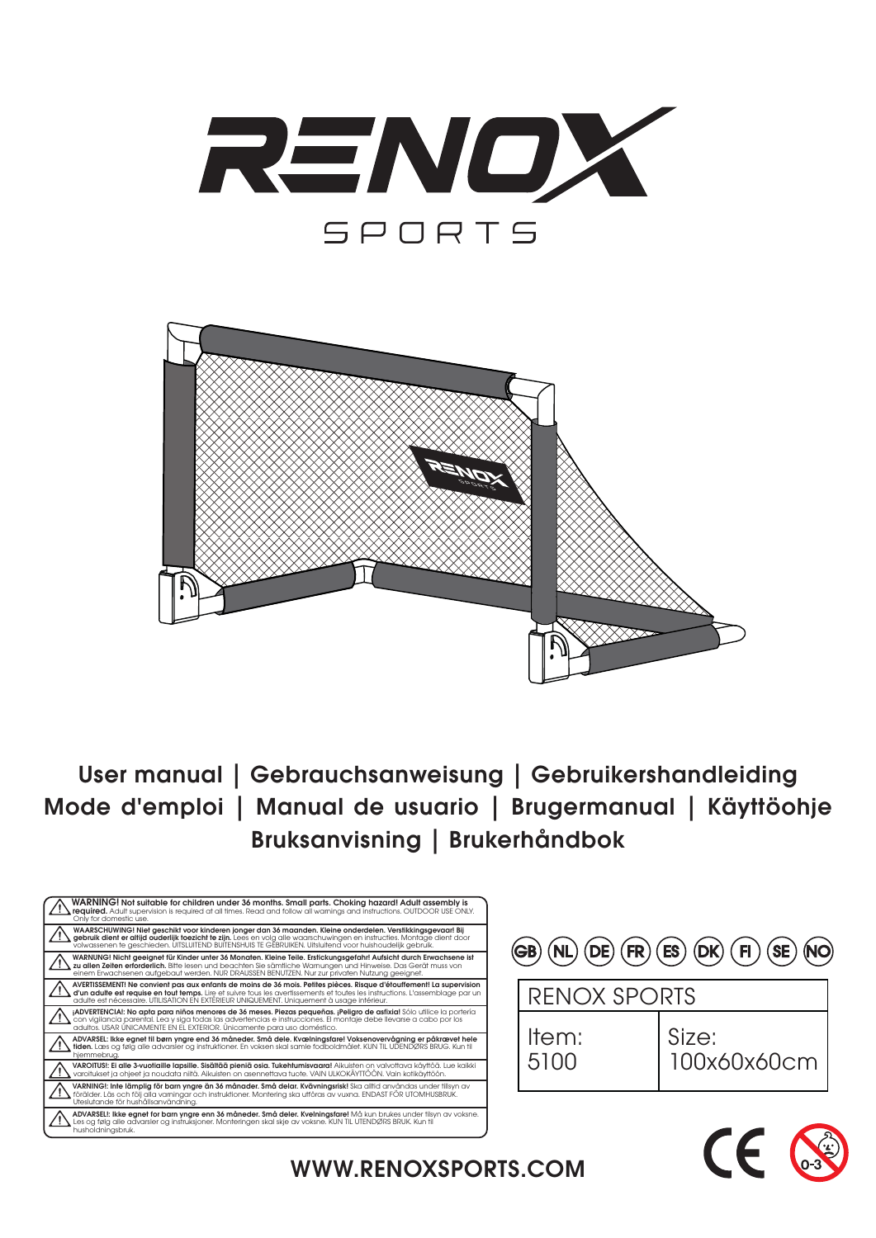



User manual | Gebrauchsanweisung | Gebruikershandleiding Mode d'emploi | Manual de usuario | Brugermanual | Käyttöohje Bruksanvisning | Brukerhåndbok



| $\left(\widehat{\mathsf{GB}}\right)\left(\widehat{\mathsf{NL}}\right)\left(\widehat{\mathsf{DE}}\right)\left(\widehat{\mathsf{FR}}\right)\left(\widehat{\mathsf{ES}}\right)\left(\widehat{\mathsf{DK}}\right)\left(\widehat{\mathsf{FL}}\right)\left(\widehat{\mathsf{SE}}\right)\left(\widehat{\mathsf{NO}}\right)$ |               |                      |  |  |  |  |
|----------------------------------------------------------------------------------------------------------------------------------------------------------------------------------------------------------------------------------------------------------------------------------------------------------------------|---------------|----------------------|--|--|--|--|
|                                                                                                                                                                                                                                                                                                                      |               | <b>RENOX SPORTS</b>  |  |  |  |  |
|                                                                                                                                                                                                                                                                                                                      | Item:<br>5100 | Size:<br>100x60x60cm |  |  |  |  |



WWW.RENOXSPORTS.COM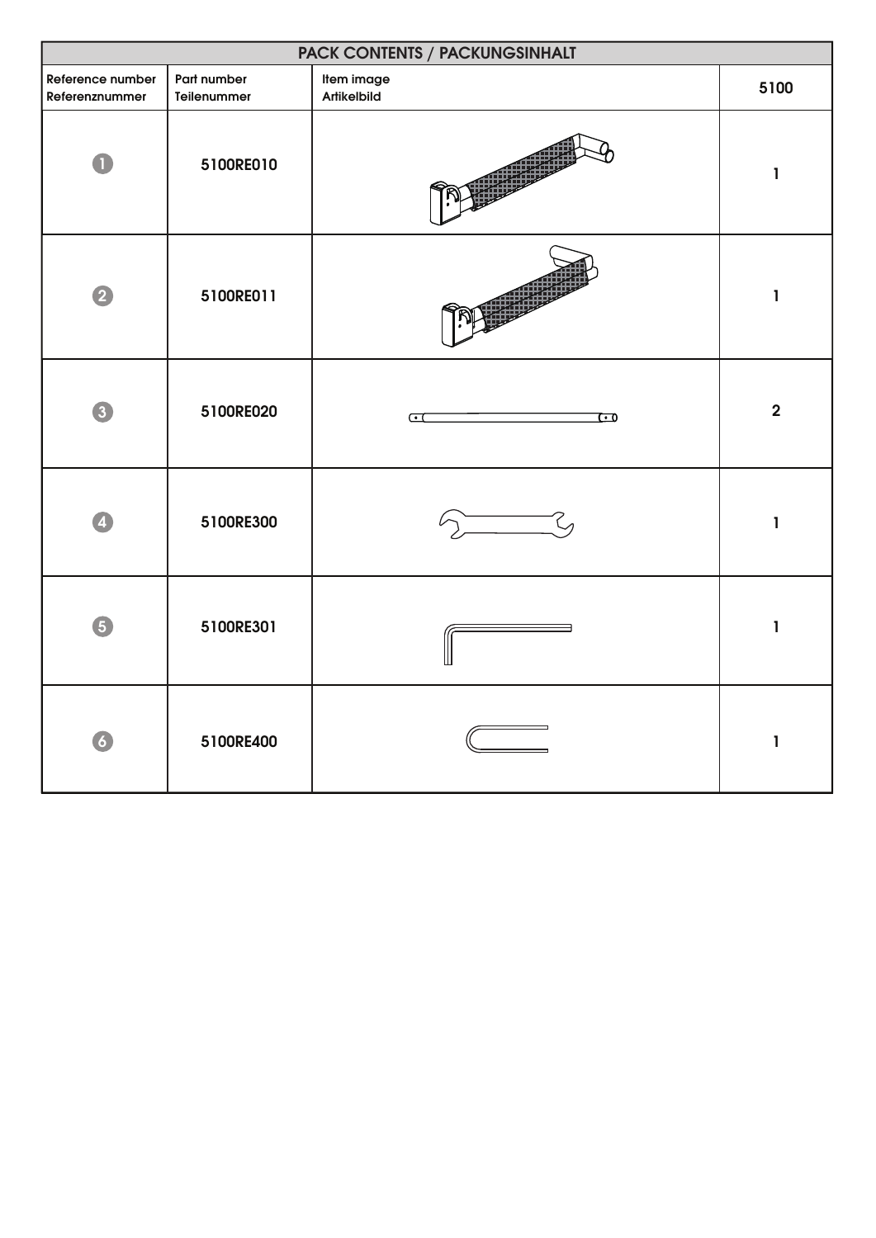| PACK CONTENTS / PACKUNGSINHALT     |                            |                                     |                |  |
|------------------------------------|----------------------------|-------------------------------------|----------------|--|
| Reference number<br>Referenznummer | Part number<br>Teilenummer | Item image<br>Artikelbild           | 5100           |  |
|                                    | 5100RE010                  |                                     | 1              |  |
| $\overline{2}$                     | 5100RE011                  |                                     | ı              |  |
| $\left 3\right\rangle$             | 5100RE020                  | $\overline{\mathbf{C}}$<br><u>ে</u> | $\overline{2}$ |  |
|                                    | 5100RE300                  |                                     | 1              |  |
| 6                                  | 5100RE301                  |                                     | ı              |  |
| $\overline{6}$                     | 5100RE400                  |                                     | $\mathbf{I}$   |  |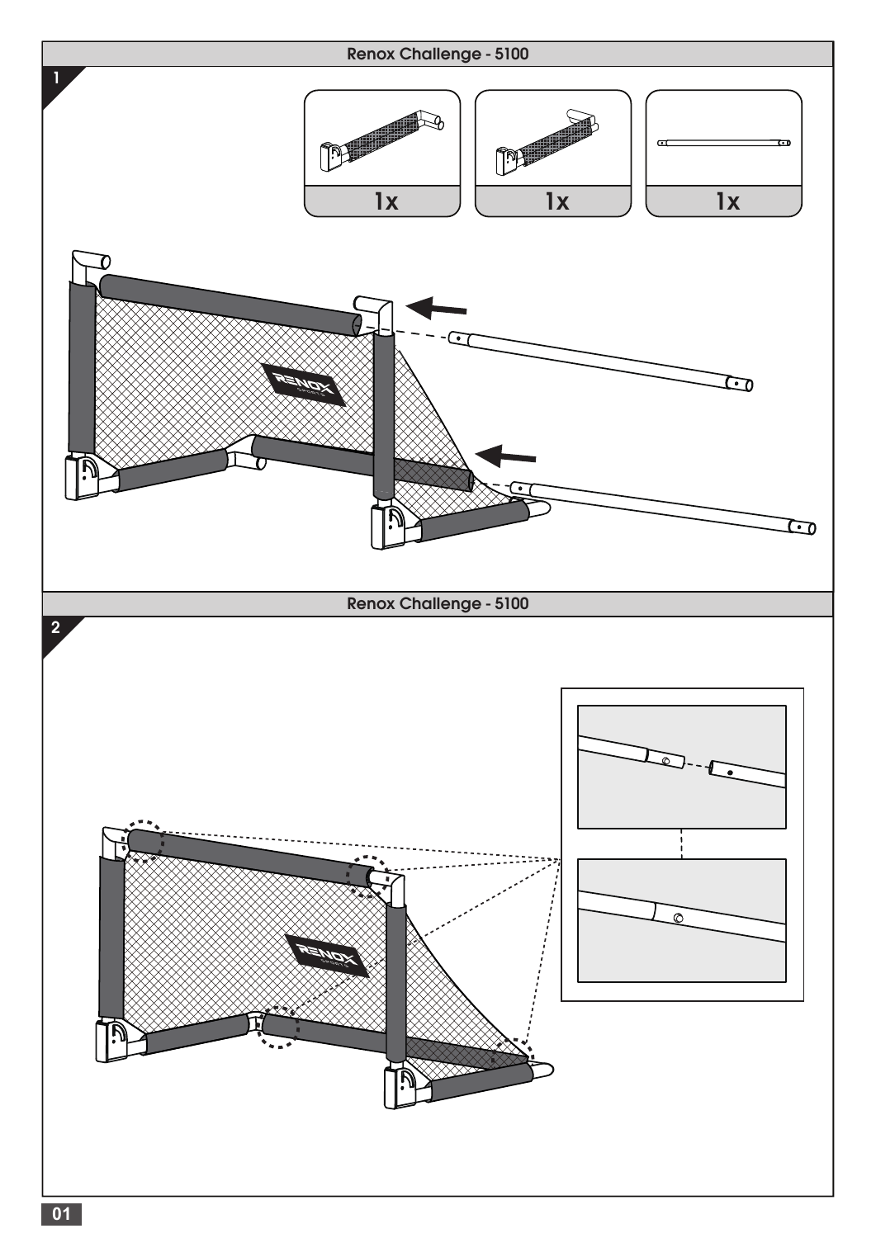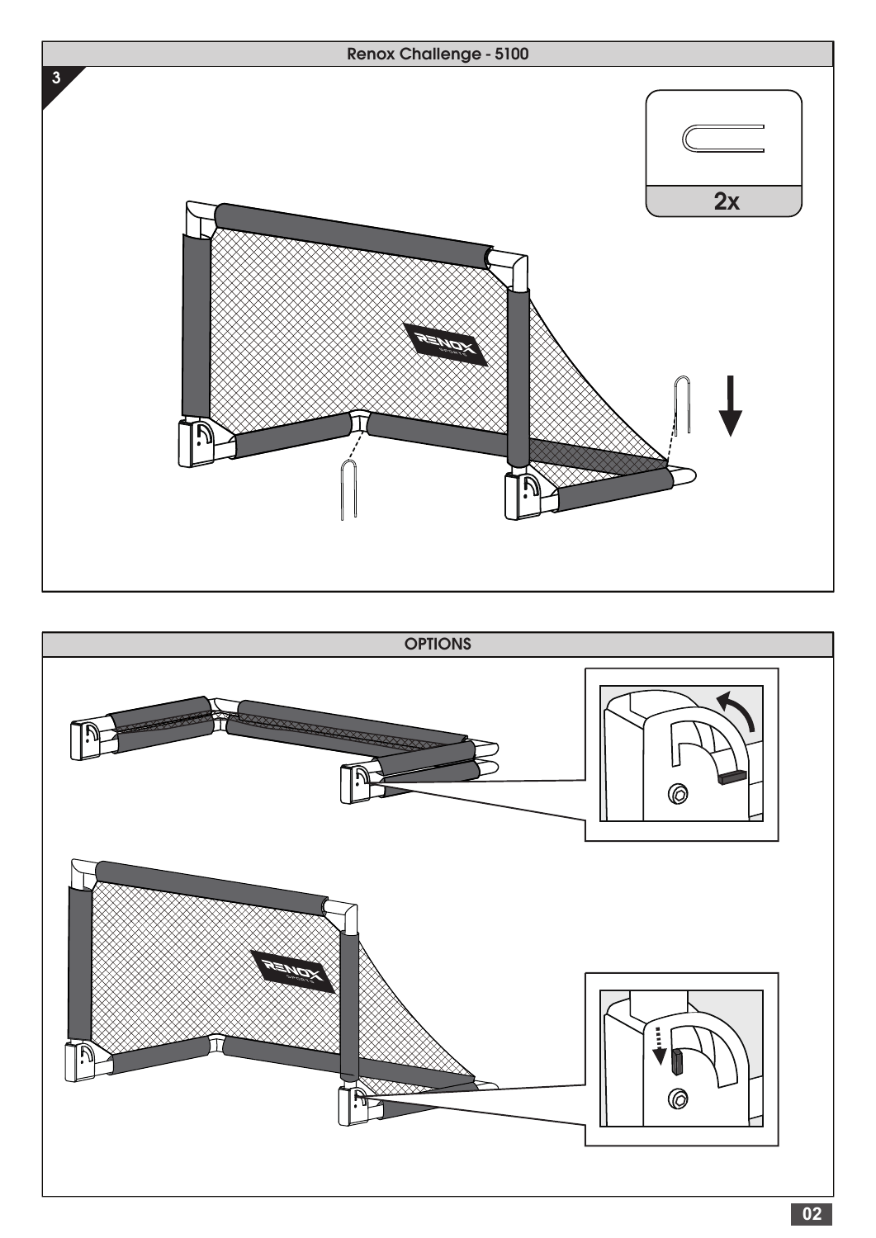

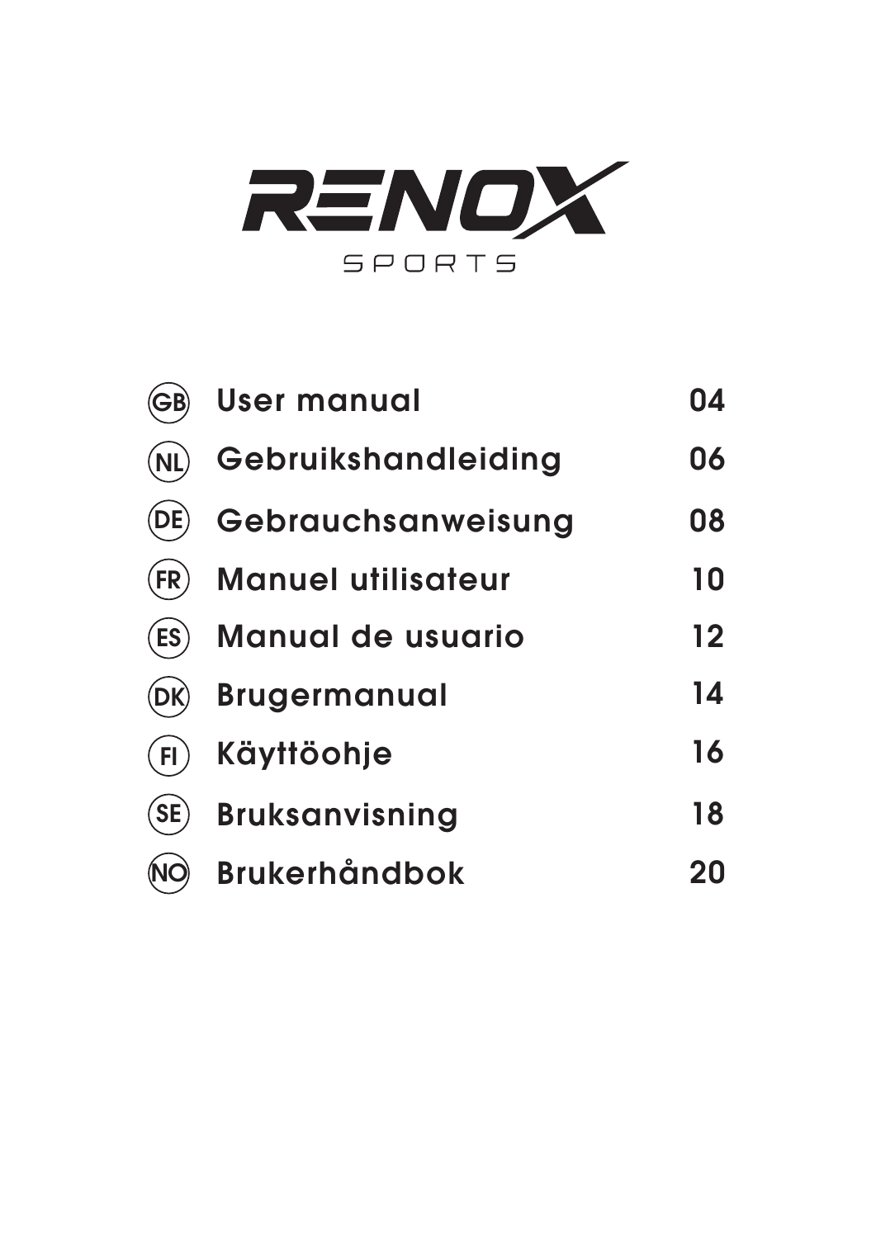

| <b>GB</b>       | <b>User manual</b>        | 04 |
|-----------------|---------------------------|----|
| (NL)            | Gebruikshandleiding       | 06 |
|                 | Gebrauchsanweisung        | 08 |
| (FR)            | <b>Manuel utilisateur</b> | 10 |
| (ES)            | <b>Manual de usuario</b>  | 12 |
|                 | <b>Brugermanual</b>       | 14 |
| F <sub>1</sub>  | Käyttöohje                | 16 |
| $\mathsf{SE}()$ | <b>Bruksanvisning</b>     | 18 |
|                 | <b>Brukerhåndbok</b>      | 20 |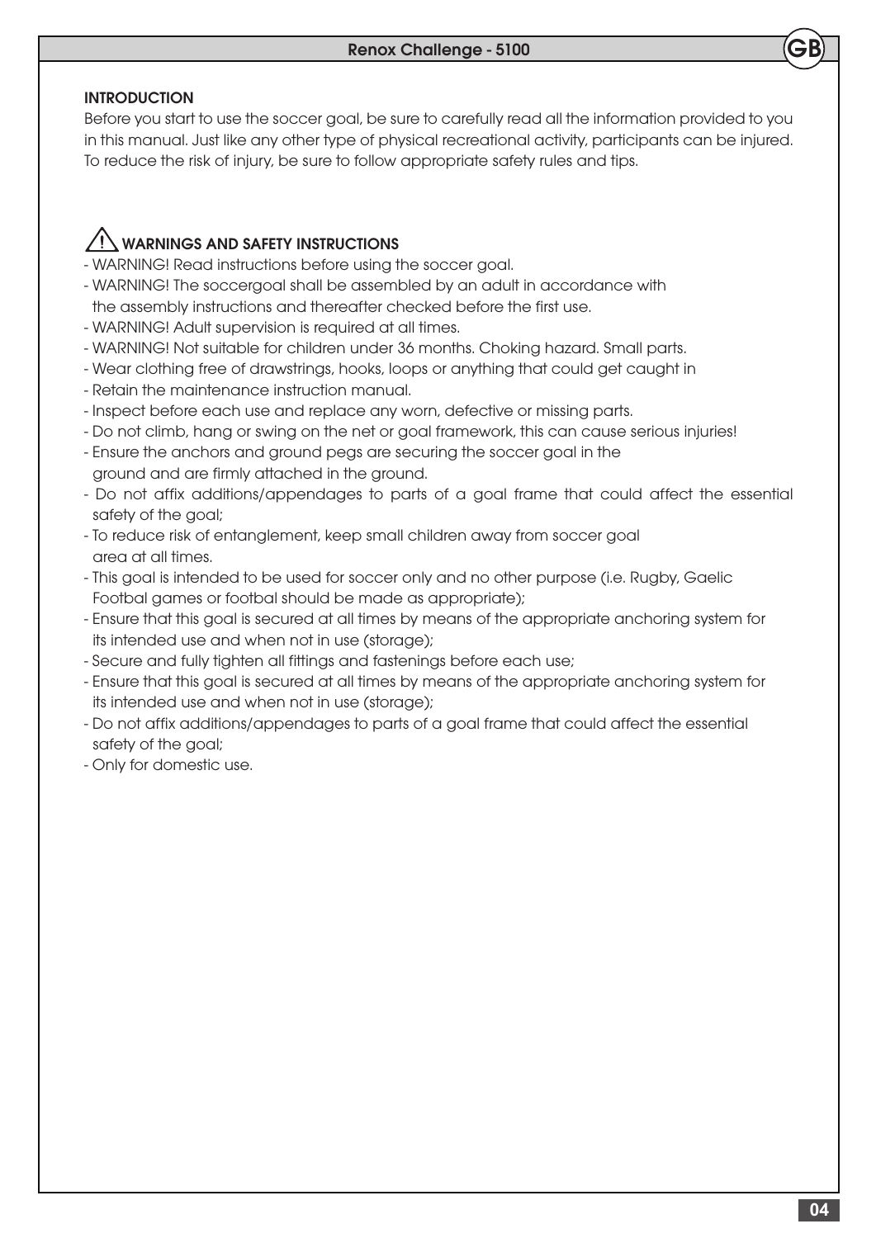## INTRODUCTION

Before you start to use the soccer goal, be sure to carefully read all the information provided to you in this manual. Just like any other type of physical recreational activity, participants can be injured. To reduce the risk of injury, be sure to follow appropriate safety rules and tips.

## WARNINGS AND SAFETY INSTRUCTIONS

- WARNING! Read instructions before using the soccer goal.
- WARNING! The soccergoal shall be assembled by an adult in accordance with the assembly instructions and thereafter checked before the first use.
- WARNING! Adult supervision is required at all times.
- WARNING! Not suitable for children under 36 months. Choking hazard. Small parts.
- Wear clothing free of drawstrings, hooks, loops or anything that could get caught in
- Retain the maintenance instruction manual.
- Inspect before each use and replace any worn, defective or missing parts.
- Do not climb, hang or swing on the net or goal framework, this can cause serious injuries!
- Ensure the anchors and ground pegs are securing the soccer goal in the ground and are firmly attached in the ground.
- Do not affix additions/appendages to parts of a goal frame that could affect the essential safety of the goal;
- To reduce risk of entanglement, keep small children away from soccer goal area at all times.
- This goal is intended to be used for soccer only and no other purpose (i.e. Rugby, Gaelic Footbal games or footbal should be made as appropriate);
- Ensure that this goal is secured at all times by means of the appropriate anchoring system for its intended use and when not in use (storage);
- Secure and fully tighten all fittings and fastenings before each use;
- Ensure that this goal is secured at all times by means of the appropriate anchoring system for its intended use and when not in use (storage);
- Do not affix additions/appendages to parts of a goal frame that could affect the essential safety of the goal;
- Only for domestic use.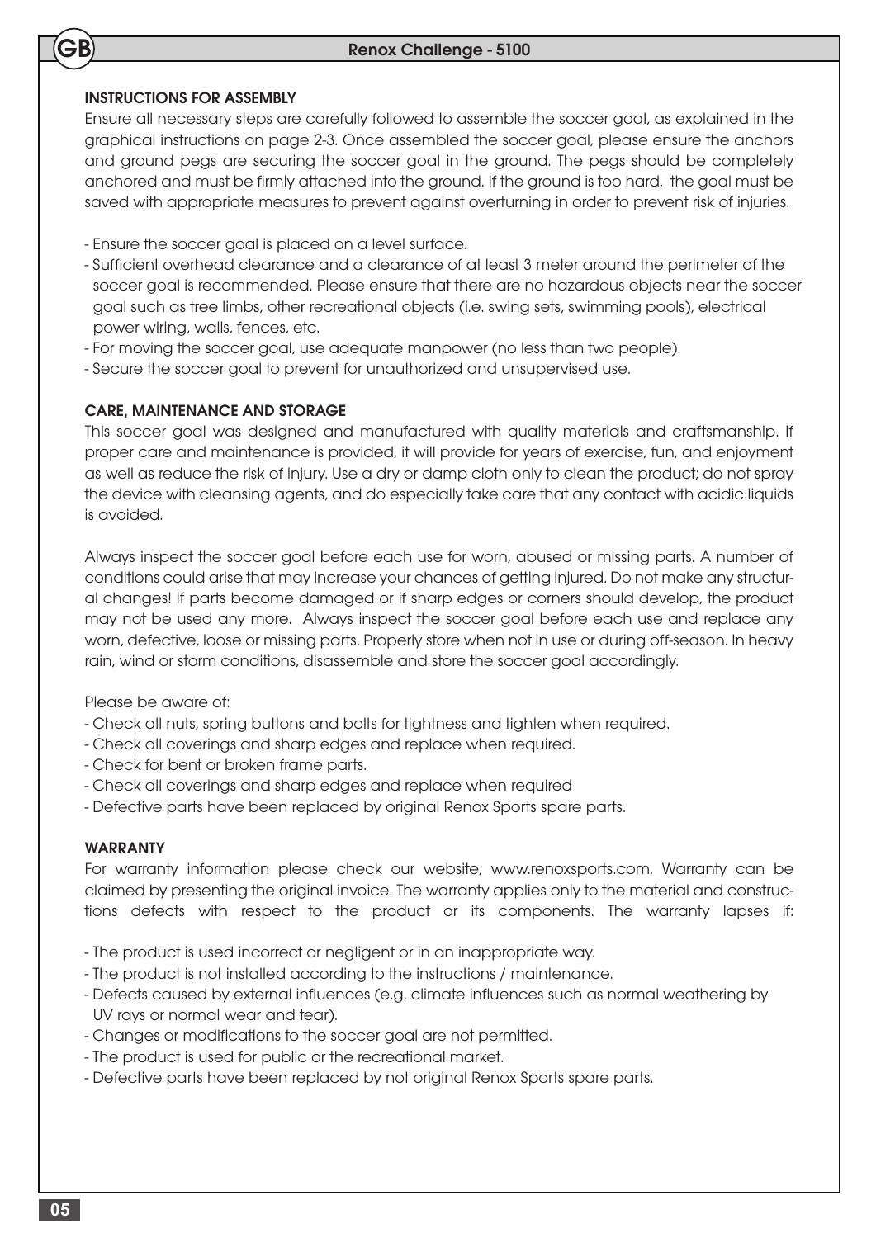### INSTRUCTIONS FOR ASSEMBLY

GB

Ensure all necessary steps are carefully followed to assemble the soccer goal, as explained in the graphical instructions on page 2-3. Once assembled the soccer goal, please ensure the anchors and ground pegs are securing the soccer goal in the ground. The pegs should be completely anchored and must be firmly attached into the ground. If the ground is too hard, the goal must be saved with appropriate measures to prevent against overturning in order to prevent risk of injuries.

- Ensure the soccer goal is placed on a level surface.
- Sufficient overhead clearance and a clearance of at least 3 meter around the perimeter of the soccer goal is recommended. Please ensure that there are no hazardous objects near the soccer goal such as tree limbs, other recreational objects (i.e. swing sets, swimming pools), electrical power wiring, walls, fences, etc.
- For moving the soccer goal, use adequate manpower (no less than two people).
- Secure the soccer goal to prevent for unauthorized and unsupervised use.

#### CARE, MAINTENANCE AND STORAGE

This soccer goal was designed and manufactured with quality materials and craftsmanship. If proper care and maintenance is provided, it will provide for years of exercise, fun, and enjoyment as well as reduce the risk of injury. Use a dry or damp cloth only to clean the product; do not spray the device with cleansing agents, and do especially take care that any contact with acidic liquids is avoided.

Always inspect the soccer goal before each use for worn, abused or missing parts. A number of conditions could arise that may increase your chances of getting injured. Do not make any structural changes! If parts become damaged or if sharp edges or corners should develop, the product may not be used any more. Always inspect the soccer goal before each use and replace any worn, defective, loose or missing parts. Properly store when not in use or during off-season. In heavy rain, wind or storm conditions, disassemble and store the soccer goal accordingly.

Please be aware of:

- Check all nuts, spring buttons and bolts for tightness and tighten when required.
- Check all coverings and sharp edges and replace when required.
- Check for bent or broken frame parts.
- Check all coverings and sharp edges and replace when required
- Defective parts have been replaced by original Renox Sports spare parts.

#### WARRANTY

For warranty information please check our website; www.renoxsports.com. Warranty can be claimed by presenting the original invoice. The warranty applies only to the material and constructions defects with respect to the product or its components. The warranty lapses if:

- The product is used incorrect or negligent or in an inappropriate way.
- The product is not installed according to the instructions / maintenance.
- Defects caused by external influences (e.g. climate influences such as normal weathering by UV rays or normal wear and tear).
- Changes or modifications to the soccer goal are not permitted.
- The product is used for public or the recreational market.
- Defective parts have been replaced by not original Renox Sports spare parts.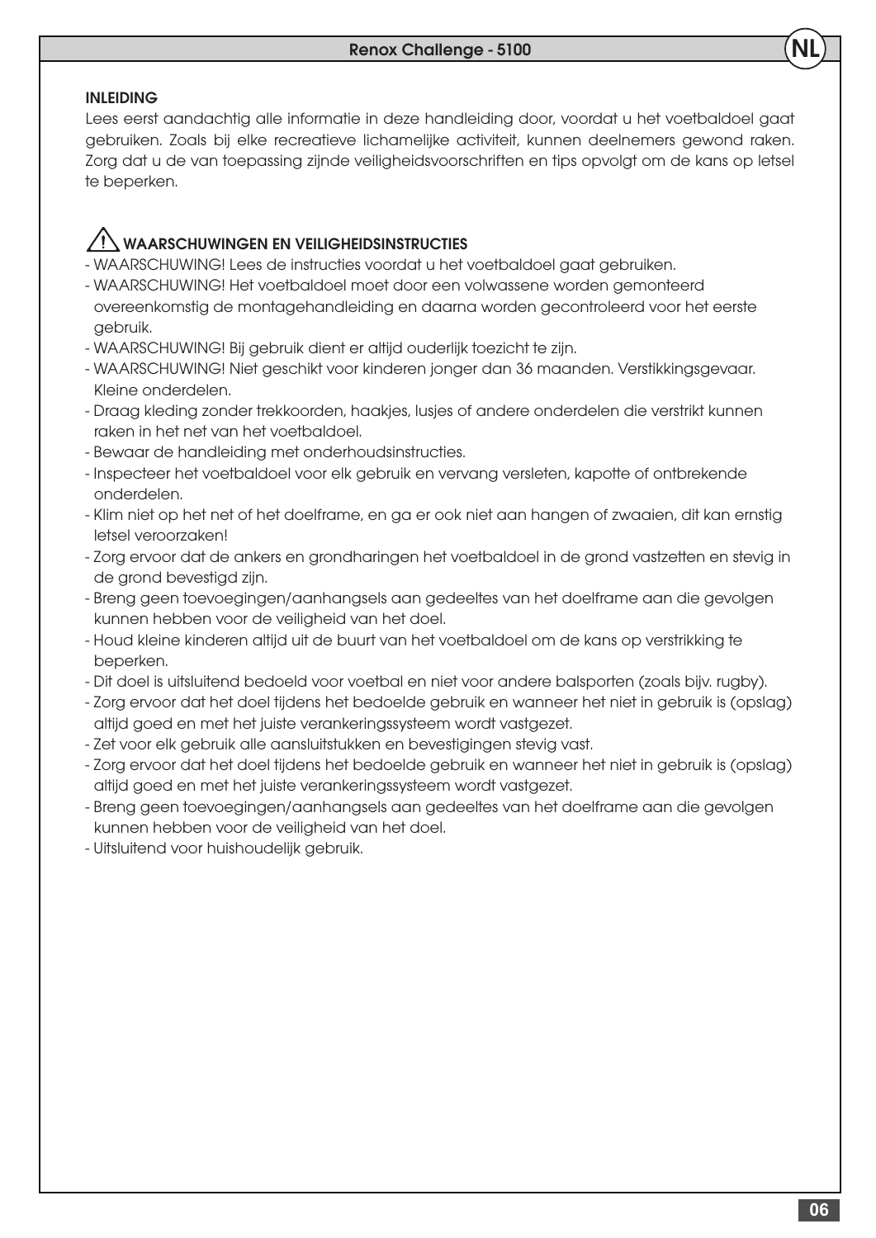#### INLEIDING

Lees eerst aandachtig alle informatie in deze handleiding door, voordat u het voetbaldoel gaat gebruiken. Zoals bij elke recreatieve lichamelijke activiteit, kunnen deelnemers gewond raken. Zorg dat u de van toepassing zijnde veiligheidsvoorschriften en tips opvolgt om de kans op letsel te beperken.

## WAARSCHUWINGEN EN VEILIGHEIDSINSTRUCTIES

- WAARSCHUWING! Lees de instructies voordat u het voetbaldoel gaat gebruiken.
- WAARSCHUWING! Het voetbaldoel moet door een volwassene worden gemonteerd overeenkomstig de montagehandleiding en daarna worden gecontroleerd voor het eerste gebruik.
- WAARSCHUWING! Bij gebruik dient er altijd ouderlijk toezicht te zijn.
- WAARSCHUWING! Niet geschikt voor kinderen jonger dan 36 maanden. Verstikkingsgevaar. Kleine onderdelen.
- Draag kleding zonder trekkoorden, haakjes, lusjes of andere onderdelen die verstrikt kunnen raken in het net van het voetbaldoel.
- Bewaar de handleiding met onderhoudsinstructies.
- Inspecteer het voetbaldoel voor elk gebruik en vervang versleten, kapotte of ontbrekende onderdelen.
- Klim niet op het net of het doelframe, en ga er ook niet aan hangen of zwaaien, dit kan ernstig letsel veroorzaken!
- Zorg ervoor dat de ankers en grondharingen het voetbaldoel in de grond vastzetten en stevig in de grond bevestigd zijn.
- Breng geen toevoegingen/aanhangsels aan gedeeltes van het doelframe aan die gevolgen kunnen hebben voor de veiligheid van het doel.
- Houd kleine kinderen altijd uit de buurt van het voetbaldoel om de kans op verstrikking te beperken.
- Dit doel is uitsluitend bedoeld voor voetbal en niet voor andere balsporten (zoals bijv. rugby).
- Zorg ervoor dat het doel tijdens het bedoelde gebruik en wanneer het niet in gebruik is (opslag) altijd goed en met het juiste verankeringssysteem wordt vastgezet.
- Zet voor elk gebruik alle aansluitstukken en bevestigingen stevig vast.
- Zorg ervoor dat het doel tijdens het bedoelde gebruik en wanneer het niet in gebruik is (opslag) altijd goed en met het juiste verankeringssysteem wordt vastgezet.
- Breng geen toevoegingen/aanhangsels aan gedeeltes van het doelframe aan die gevolgen kunnen hebben voor de veiligheid van het doel.
- Uitsluitend voor huishoudelijk gebruik.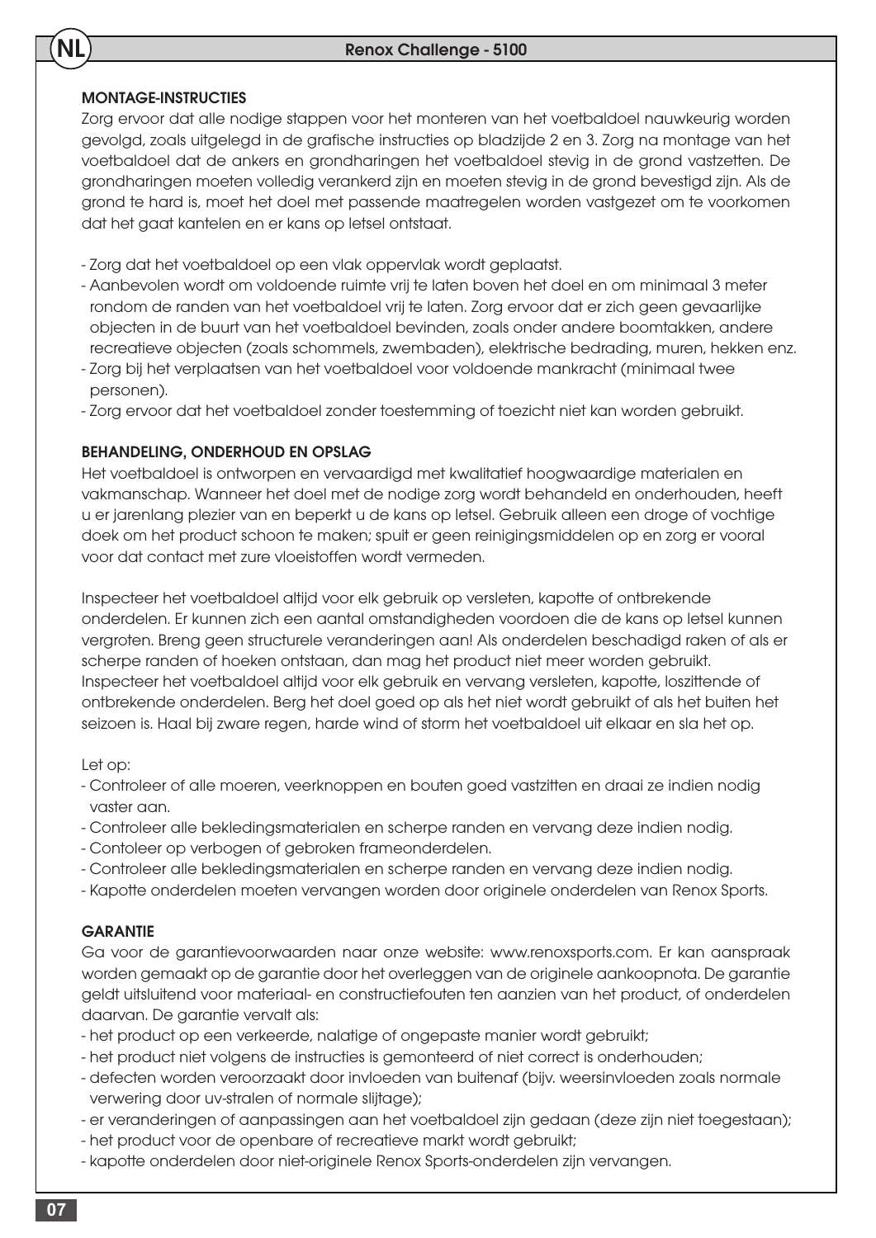## MONTAGE-INSTRUCTIES

NL

Zorg ervoor dat alle nodige stappen voor het monteren van het voetbaldoel nauwkeurig worden gevolgd, zoals uitgelegd in de grafische instructies op bladzijde 2 en 3. Zorg na montage van het voetbaldoel dat de ankers en grondharingen het voetbaldoel stevig in de grond vastzetten. De grondharingen moeten volledig verankerd zijn en moeten stevig in de grond bevestigd zijn. Als de grond te hard is, moet het doel met passende maatregelen worden vastgezet om te voorkomen dat het gaat kantelen en er kans op letsel ontstaat.

- Zorg dat het voetbaldoel op een vlak oppervlak wordt geplaatst.
- Aanbevolen wordt om voldoende ruimte vrij te laten boven het doel en om minimaal 3 meter rondom de randen van het voetbaldoel vrij te laten. Zorg ervoor dat er zich geen gevaarlijke objecten in de buurt van het voetbaldoel bevinden, zoals onder andere boomtakken, andere recreatieve objecten (zoals schommels, zwembaden), elektrische bedrading, muren, hekken enz.
- Zorg bij het verplaatsen van het voetbaldoel voor voldoende mankracht (minimaal twee personen).
- Zorg ervoor dat het voetbaldoel zonder toestemming of toezicht niet kan worden gebruikt.

## BEHANDELING, ONDERHOUD EN OPSLAG

Het voetbaldoel is ontworpen en vervaardigd met kwalitatief hoogwaardige materialen en vakmanschap. Wanneer het doel met de nodige zorg wordt behandeld en onderhouden, heeft u er jarenlang plezier van en beperkt u de kans op letsel. Gebruik alleen een droge of vochtige doek om het product schoon te maken; spuit er geen reinigingsmiddelen op en zorg er vooral voor dat contact met zure vloeistoffen wordt vermeden.

Inspecteer het voetbaldoel altijd voor elk gebruik op versleten, kapotte of ontbrekende onderdelen. Er kunnen zich een aantal omstandigheden voordoen die de kans op letsel kunnen vergroten. Breng geen structurele veranderingen aan! Als onderdelen beschadigd raken of als er scherpe randen of hoeken ontstaan, dan mag het product niet meer worden gebruikt. Inspecteer het voetbaldoel altijd voor elk gebruik en vervang versleten, kapotte, loszittende of ontbrekende onderdelen. Berg het doel goed op als het niet wordt gebruikt of als het buiten het seizoen is. Haal bij zware regen, harde wind of storm het voetbaldoel uit elkaar en sla het op.

## Let op:

- Controleer of alle moeren, veerknoppen en bouten goed vastzitten en draai ze indien nodig vaster aan.
- Controleer alle bekledingsmaterialen en scherpe randen en vervang deze indien nodig.
- Contoleer op verbogen of gebroken frameonderdelen.
- Controleer alle bekledingsmaterialen en scherpe randen en vervang deze indien nodig.
- Kapotte onderdelen moeten vervangen worden door originele onderdelen van Renox Sports.

## **GARANTIE**

Ga voor de garantievoorwaarden naar onze website: www.renoxsports.com. Er kan aanspraak worden gemaakt op de garantie door het overleggen van de originele aankoopnota. De garantie geldt uitsluitend voor materiaal- en constructiefouten ten aanzien van het product, of onderdelen daarvan. De garantie vervalt als:

- het product op een verkeerde, nalatige of ongepaste manier wordt gebruikt;
- het product niet volgens de instructies is gemonteerd of niet correct is onderhouden;
- defecten worden veroorzaakt door invloeden van buitenaf (bijv. weersinvloeden zoals normale verwering door uv-stralen of normale slijtage);
- er veranderingen of aanpassingen aan het voetbaldoel zijn gedaan (deze zijn niet toegestaan);
- het product voor de openbare of recreatieve markt wordt gebruikt;
- kapotte onderdelen door niet-originele Renox Sports-onderdelen zijn vervangen.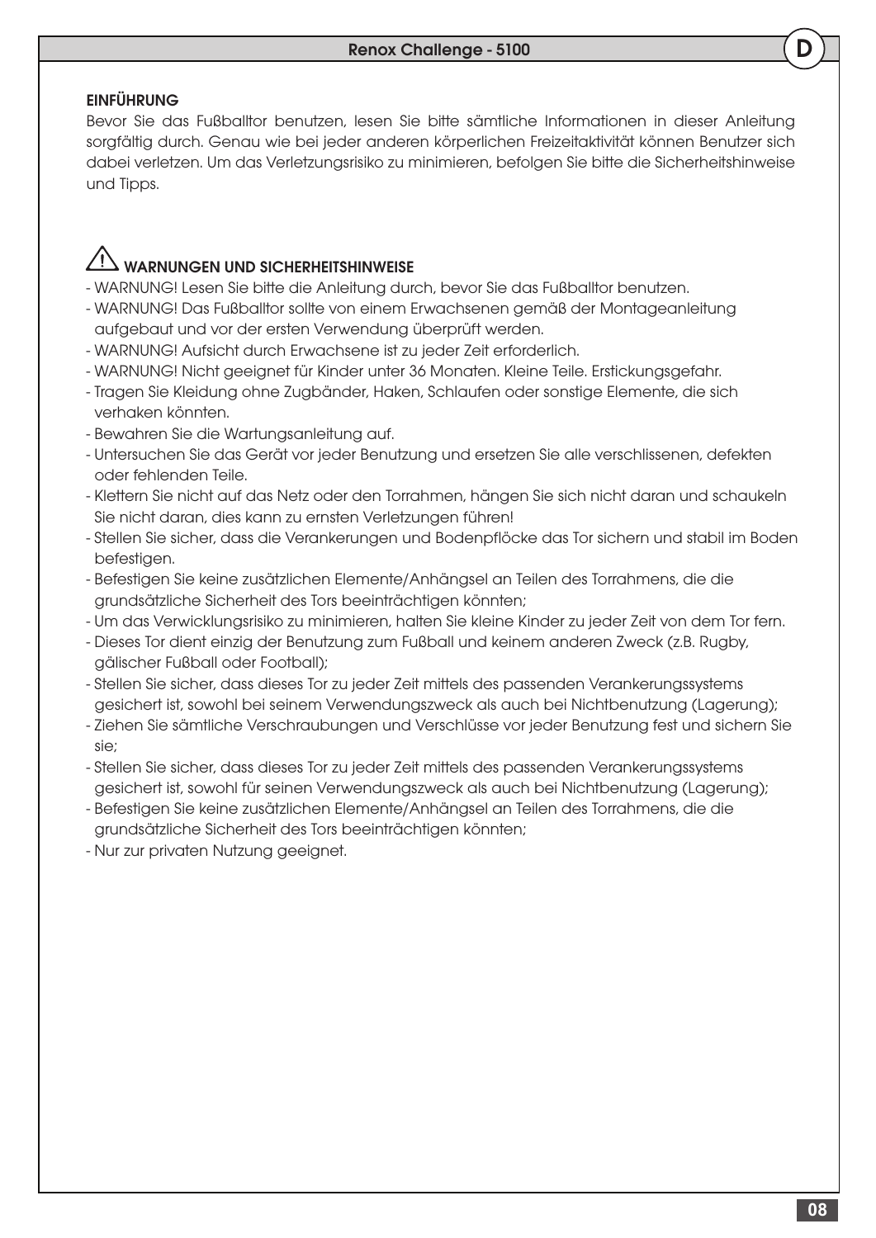## **EINFÜHRUNG**

Bevor Sie das Fußballtor benutzen, lesen Sie bitte sämtliche Informationen in dieser Anleitung sorgfältig durch. Genau wie bei jeder anderen körperlichen Freizeitaktivität können Benutzer sich dabei verletzen. Um das Verletzungsrisiko zu minimieren, befolgen Sie bitte die Sicherheitshinweise und Tipps.

# <u>/! \</u> WARNUNGEN UND SICHERHEITSHINWEISE

- WARNUNG! Lesen Sie bitte die Anleitung durch, bevor Sie das Fußballtor benutzen.
- WARNUNG! Das Fußballtor sollte von einem Erwachsenen gemäß der Montageanleitung aufgebaut und vor der ersten Verwendung überprüft werden.
- WARNUNG! Aufsicht durch Erwachsene ist zu jeder Zeit erforderlich.
- WARNUNG! Nicht geeignet für Kinder unter 36 Monaten. Kleine Teile. Erstickungsgefahr.
- Tragen Sie Kleidung ohne Zugbänder, Haken, Schlaufen oder sonstige Elemente, die sich verhaken könnten.
- Bewahren Sie die Wartungsanleitung auf.
- Untersuchen Sie das Gerät vor jeder Benutzung und ersetzen Sie alle verschlissenen, defekten oder fehlenden Teile.
- Klettern Sie nicht auf das Netz oder den Torrahmen, hängen Sie sich nicht daran und schaukeln Sie nicht daran, dies kann zu ernsten Verletzungen führen!
- Stellen Sie sicher, dass die Verankerungen und Bodenpflöcke das Tor sichern und stabil im Boden befestigen.
- Befestigen Sie keine zusätzlichen Elemente/Anhängsel an Teilen des Torrahmens, die die grundsätzliche Sicherheit des Tors beeinträchtigen könnten;
- Um das Verwicklungsrisiko zu minimieren, halten Sie kleine Kinder zu jeder Zeit von dem Tor fern.
- Dieses Tor dient einzig der Benutzung zum Fußball und keinem anderen Zweck (z.B. Rugby, gälischer Fußball oder Football);
- Stellen Sie sicher, dass dieses Tor zu jeder Zeit mittels des passenden Verankerungssystems gesichert ist, sowohl bei seinem Verwendungszweck als auch bei Nichtbenutzung (Lagerung);
- Ziehen Sie sämtliche Verschraubungen und Verschlüsse vor jeder Benutzung fest und sichern Sie sie;
- Stellen Sie sicher, dass dieses Tor zu jeder Zeit mittels des passenden Verankerungssystems gesichert ist, sowohl für seinen Verwendungszweck als auch bei Nichtbenutzung (Lagerung);
- Befestigen Sie keine zusätzlichen Elemente/Anhängsel an Teilen des Torrahmens, die die grundsätzliche Sicherheit des Tors beeinträchtigen könnten;
- Nur zur privaten Nutzung geeignet.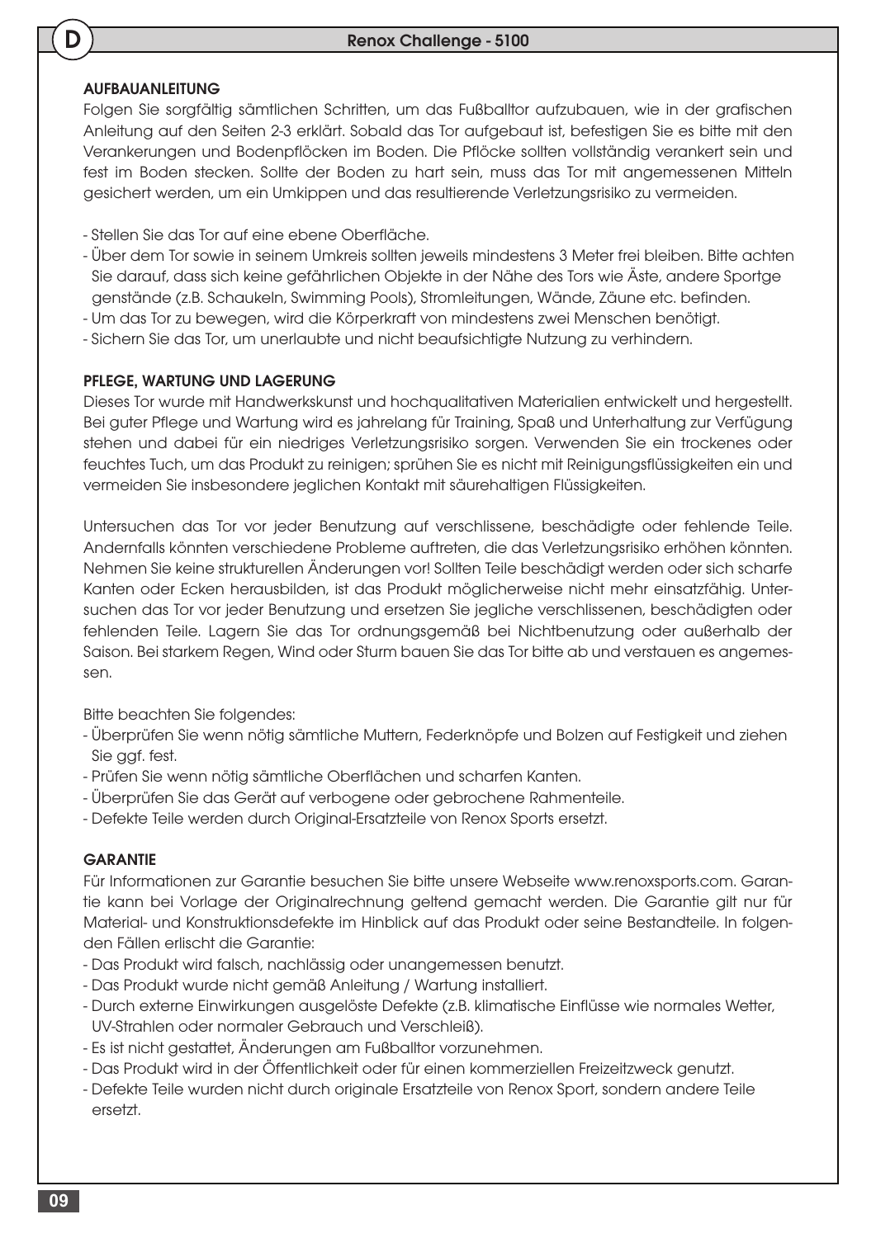### AUFBAUANLEITUNG

Folgen Sie sorgfältig sämtlichen Schritten, um das Fußballtor aufzubauen, wie in der grafischen Anleitung auf den Seiten 2-3 erklärt. Sobald das Tor aufgebaut ist, befestigen Sie es bitte mit den Verankerungen und Bodenpflöcken im Boden. Die Pflöcke sollten vollständig verankert sein und fest im Boden stecken. Sollte der Boden zu hart sein, muss das Tor mit angemessenen Mitteln gesichert werden, um ein Umkippen und das resultierende Verletzungsrisiko zu vermeiden.

- Stellen Sie das Tor auf eine ebene Oberfläche.
- Über dem Tor sowie in seinem Umkreis sollten jeweils mindestens 3 Meter frei bleiben. Bitte achten Sie darauf, dass sich keine gefährlichen Objekte in der Nähe des Tors wie Äste, andere Sportge genstände (z.B. Schaukeln, Swimming Pools), Stromleitungen, Wände, Zäune etc. befinden.
- Um das Tor zu bewegen, wird die Körperkraft von mindestens zwei Menschen benötigt.
- Sichern Sie das Tor, um unerlaubte und nicht beaufsichtigte Nutzung zu verhindern.

#### PFLEGE, WARTUNG UND LAGERUNG

Dieses Tor wurde mit Handwerkskunst und hochqualitativen Materialien entwickelt und hergestellt. Bei guter Pflege und Wartung wird es jahrelang für Training, Spaß und Unterhaltung zur Verfügung stehen und dabei für ein niedriges Verletzungsrisiko sorgen. Verwenden Sie ein trockenes oder feuchtes Tuch, um das Produkt zu reinigen; sprühen Sie es nicht mit Reinigungsflüssigkeiten ein und vermeiden Sie insbesondere jeglichen Kontakt mit säurehaltigen Flüssigkeiten.

Untersuchen das Tor vor jeder Benutzung auf verschlissene, beschädigte oder fehlende Teile. Andernfalls könnten verschiedene Probleme auftreten, die das Verletzungsrisiko erhöhen könnten. Nehmen Sie keine strukturellen Änderungen vor! Sollten Teile beschädigt werden oder sich scharfe Kanten oder Ecken herausbilden, ist das Produkt möglicherweise nicht mehr einsatzfähig. Untersuchen das Tor vor jeder Benutzung und ersetzen Sie jegliche verschlissenen, beschädigten oder fehlenden Teile. Lagern Sie das Tor ordnungsgemäß bei Nichtbenutzung oder außerhalb der Saison. Bei starkem Regen, Wind oder Sturm bauen Sie das Tor bitte ab und verstauen es angemessen.

Bitte beachten Sie folgendes:

- Überprüfen Sie wenn nötig sämtliche Muttern, Federknöpfe und Bolzen auf Festigkeit und ziehen Sie ggf. fest.
- Prüfen Sie wenn nötig sämtliche Oberflächen und scharfen Kanten.
- Überprüfen Sie das Gerät auf verbogene oder gebrochene Rahmenteile.
- Defekte Teile werden durch Original-Ersatzteile von Renox Sports ersetzt.

#### **GARANTIE**

Für Informationen zur Garantie besuchen Sie bitte unsere Webseite www.renoxsports.com. Garantie kann bei Vorlage der Originalrechnung geltend gemacht werden. Die Garantie gilt nur für Material- und Konstruktionsdefekte im Hinblick auf das Produkt oder seine Bestandteile. In folgenden Fällen erlischt die Garantie:

- Das Produkt wird falsch, nachlässig oder unangemessen benutzt.
- Das Produkt wurde nicht gemäß Anleitung / Wartung installiert.
- Durch externe Einwirkungen ausgelöste Defekte (z.B. klimatische Einflüsse wie normales Wetter, UV-Strahlen oder normaler Gebrauch und Verschleiß).
- Es ist nicht gestattet, Änderungen am Fußballtor vorzunehmen.
- Das Produkt wird in der Öffentlichkeit oder für einen kommerziellen Freizeitzweck genutzt.
- Defekte Teile wurden nicht durch originale Ersatzteile von Renox Sport, sondern andere Teile ersetzt.

D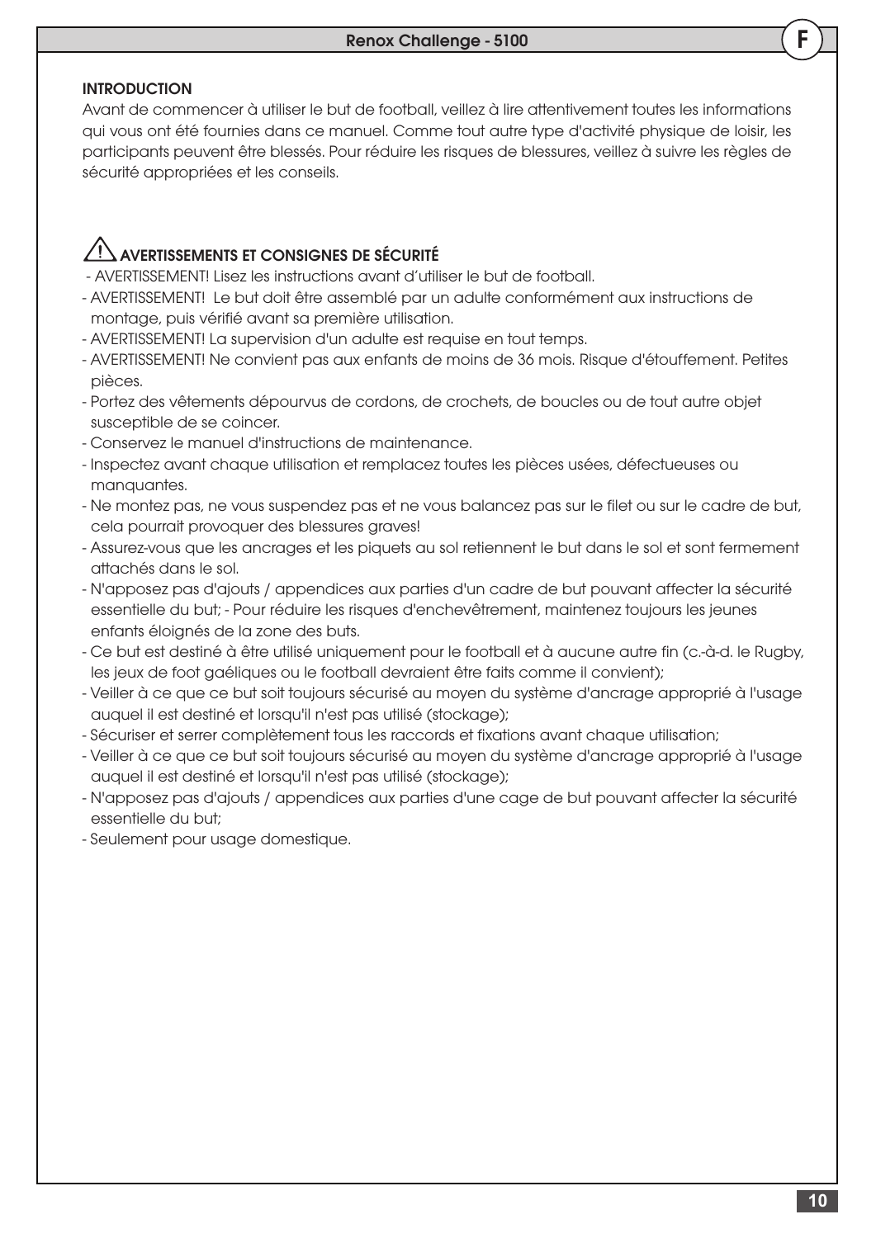## **INTRODUCTION**

Avant de commencer à utiliser le but de football, veillez à lire attentivement toutes les informations qui vous ont été fournies dans ce manuel. Comme tout autre type d'activité physique de loisir, les participants peuvent être blessés. Pour réduire les risques de blessures, veillez à suivre les règles de sécurité appropriées et les conseils.

## AVERTISSEMENTS ET CONSIGNES DE SÉCURITÉ

- AVERTISSEMENT! Lisez les instructions avant d'utiliser le but de football.
- AVERTISSEMENT! Le but doit être assemblé par un adulte conformément aux instructions de montage, puis vérifié avant sa première utilisation.
- AVERTISSEMENT! La supervision d'un adulte est requise en tout temps.
- AVERTISSEMENT! Ne convient pas aux enfants de moins de 36 mois. Risque d'étouffement. Petites pièces.
- Portez des vêtements dépourvus de cordons, de crochets, de boucles ou de tout autre objet susceptible de se coincer.
- Conservez le manuel d'instructions de maintenance.
- Inspectez avant chaque utilisation et remplacez toutes les pièces usées, défectueuses ou manquantes.
- Ne montez pas, ne vous suspendez pas et ne vous balancez pas sur le filet ou sur le cadre de but, cela pourrait provoquer des blessures graves!
- Assurez-vous que les ancrages et les piquets au sol retiennent le but dans le sol et sont fermement attachés dans le sol.
- N'apposez pas d'ajouts / appendices aux parties d'un cadre de but pouvant affecter la sécurité essentielle du but; - Pour réduire les risques d'enchevêtrement, maintenez toujours les jeunes enfants éloignés de la zone des buts.
- Ce but est destiné à être utilisé uniquement pour le football et à aucune autre fin (c.-à-d. le Rugby, les jeux de foot gaéliques ou le football devraient être faits comme il convient);
- Veiller à ce que ce but soit toujours sécurisé au moyen du système d'ancrage approprié à l'usage auquel il est destiné et lorsqu'il n'est pas utilisé (stockage);
- Sécuriser et serrer complètement tous les raccords et fixations avant chaque utilisation;
- Veiller à ce que ce but soit toujours sécurisé au moyen du système d'ancrage approprié à l'usage auquel il est destiné et lorsqu'il n'est pas utilisé (stockage);
- N'apposez pas d'ajouts / appendices aux parties d'une cage de but pouvant affecter la sécurité essentielle du but;
- Seulement pour usage domestique.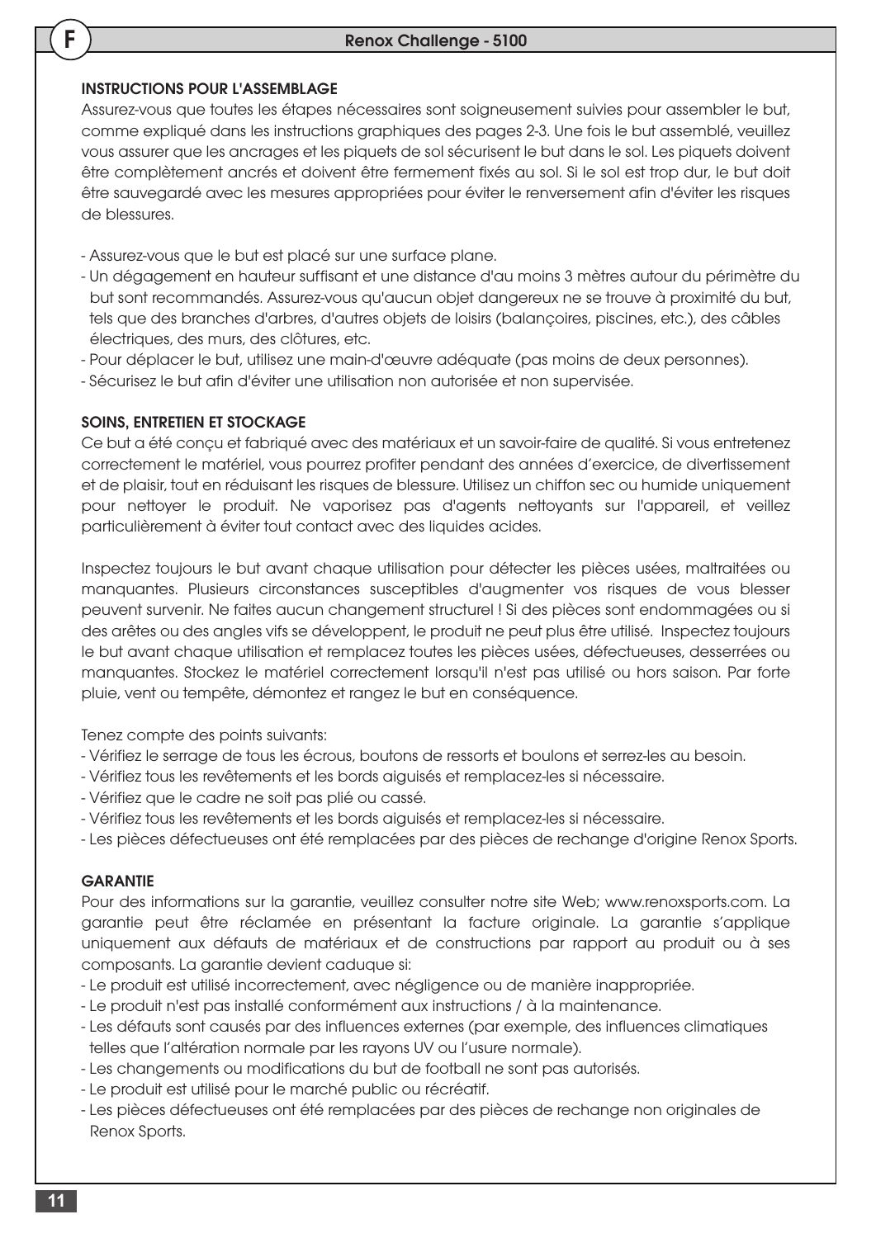#### INSTRUCTIONS POUR L'ASSEMBLAGE

Assurez-vous que toutes les étapes nécessaires sont soigneusement suivies pour assembler le but, comme expliqué dans les instructions graphiques des pages 2-3. Une fois le but assemblé, veuillez vous assurer que les ancrages et les piquets de sol sécurisent le but dans le sol. Les piquets doivent être complètement ancrés et doivent être fermement fixés au sol. Si le sol est trop dur, le but doit être sauvegardé avec les mesures appropriées pour éviter le renversement afin d'éviter les risques de blessures.

- Assurez-vous que le but est placé sur une surface plane.
- Un dégagement en hauteur suffisant et une distance d'au moins 3 mètres autour du périmètre du but sont recommandés. Assurez-vous qu'aucun objet dangereux ne se trouve à proximité du but, tels que des branches d'arbres, d'autres objets de loisirs (balançoires, piscines, etc.), des câbles électriques, des murs, des clôtures, etc.
- Pour déplacer le but, utilisez une main-d'œuvre adéquate (pas moins de deux personnes).
- Sécurisez le but afin d'éviter une utilisation non autorisée et non supervisée.

#### SOINS, ENTRETIEN ET STOCKAGE

Ce but a été conçu et fabriqué avec des matériaux et un savoir-faire de qualité. Si vous entretenez correctement le matériel, vous pourrez profiter pendant des années d'exercice, de divertissement et de plaisir, tout en réduisant les risques de blessure. Utilisez un chiffon sec ou humide uniquement pour nettoyer le produit. Ne vaporisez pas d'agents nettoyants sur l'appareil, et veillez particulièrement à éviter tout contact avec des liquides acides.

Inspectez toujours le but avant chaque utilisation pour détecter les pièces usées, maltraitées ou manquantes. Plusieurs circonstances susceptibles d'augmenter vos risques de vous blesser peuvent survenir. Ne faites aucun changement structurel ! Si des pièces sont endommagées ou si des arêtes ou des angles vifs se développent, le produit ne peut plus être utilisé. Inspectez toujours le but avant chaque utilisation et remplacez toutes les pièces usées, défectueuses, desserrées ou manquantes. Stockez le matériel correctement lorsqu'il n'est pas utilisé ou hors saison. Par forte pluie, vent ou tempête, démontez et rangez le but en conséquence.

Tenez compte des points suivants:

- Vérifiez le serrage de tous les écrous, boutons de ressorts et boulons et serrez-les au besoin.
- Vérifiez tous les revêtements et les bords aiguisés et remplacez-les si nécessaire.
- Vérifiez que le cadre ne soit pas plié ou cassé.
- Vérifiez tous les revêtements et les bords aiguisés et remplacez-les si nécessaire.
- Les pièces défectueuses ont été remplacées par des pièces de rechange d'origine Renox Sports.

#### **GARANTIE**

Pour des informations sur la garantie, veuillez consulter notre site Web; www.renoxsports.com. La garantie peut être réclamée en présentant la facture originale. La garantie s'applique uniquement aux défauts de matériaux et de constructions par rapport au produit ou à ses composants. La garantie devient caduque si:

- Le produit est utilisé incorrectement, avec négligence ou de manière inappropriée.

- Le produit n'est pas installé conformément aux instructions / à la maintenance.
- Les défauts sont causés par des influences externes (par exemple, des influences climatiques telles que l'altération normale par les rayons UV ou l'usure normale).
- Les changements ou modifications du but de football ne sont pas autorisés.
- Le produit est utilisé pour le marché public ou récréatif.
- Les pièces défectueuses ont été remplacées par des pièces de rechange non originales de Renox Sports.

F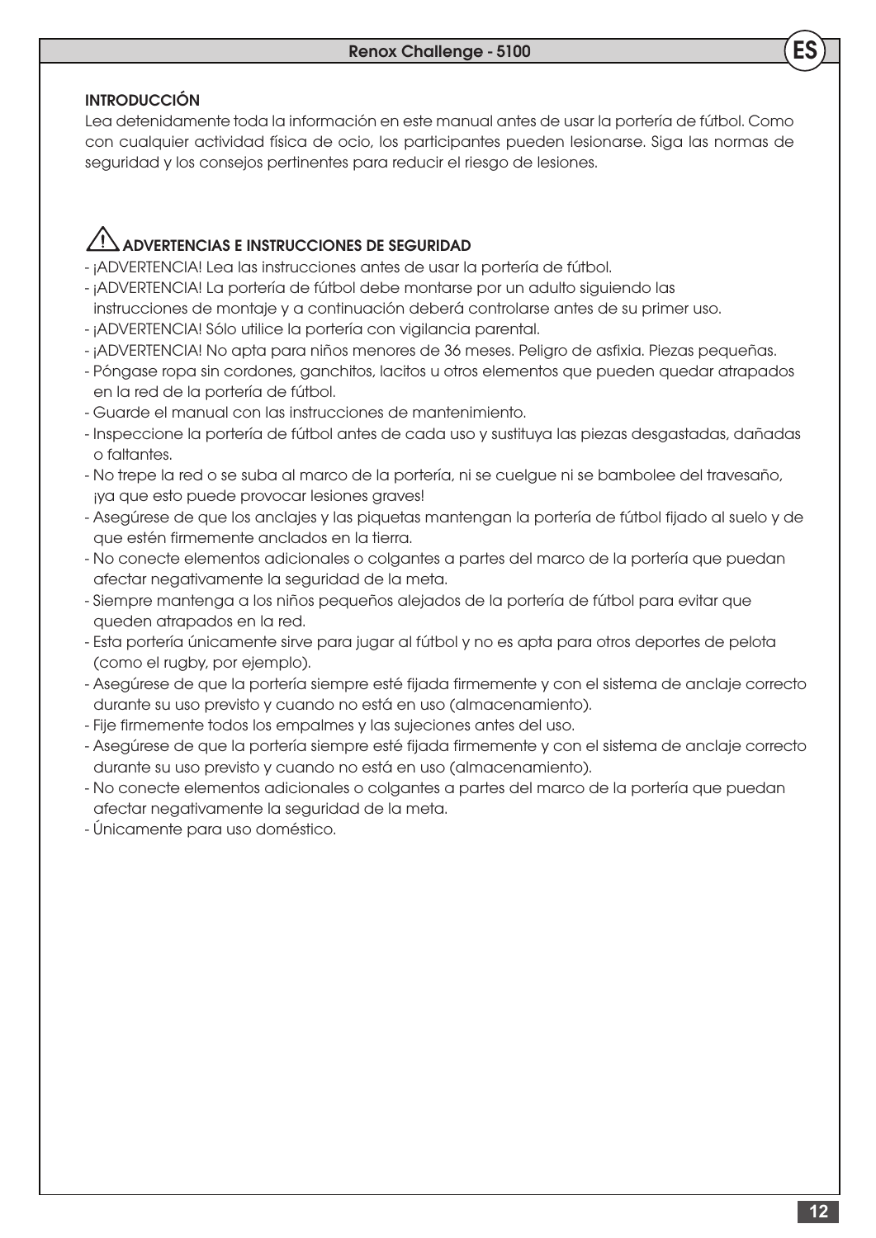## INTRODUCCIÓN

Lea detenidamente toda la información en este manual antes de usar la portería de fútbol. Como con cualquier actividad física de ocio, los participantes pueden lesionarse. Siga las normas de seguridad y los consejos pertinentes para reducir el riesgo de lesiones.

## ADVERTENCIAS E INSTRUCCIONES DE SEGURIDAD

- ¡ADVERTENCIA! Lea las instrucciones antes de usar la portería de fútbol.
- ¡ADVERTENCIA! La portería de fútbol debe montarse por un adulto siguiendo las
- instrucciones de montaje y a continuación deberá controlarse antes de su primer uso.
- ¡ADVERTENCIA! Sólo utilice la portería con vigilancia parental.
- ¡ADVERTENCIA! No apta para niños menores de 36 meses. Peligro de asfixia. Piezas pequeñas.
- Póngase ropa sin cordones, ganchitos, lacitos u otros elementos que pueden quedar atrapados en la red de la portería de fútbol.
- Guarde el manual con las instrucciones de mantenimiento.
- Inspeccione la portería de fútbol antes de cada uso y sustituya las piezas desgastadas, dañadas o faltantes.
- No trepe la red o se suba al marco de la portería, ni se cuelgue ni se bambolee del travesaño, ¡ya que esto puede provocar lesiones graves!
- Asegúrese de que los anclajes y las piquetas mantengan la portería de fútbol fijado al suelo y de que estén firmemente anclados en la tierra.
- No conecte elementos adicionales o colgantes a partes del marco de la portería que puedan afectar negativamente la seguridad de la meta.
- Siempre mantenga a los niños pequeños alejados de la portería de fútbol para evitar que queden atrapados en la red.
- Esta portería únicamente sirve para jugar al fútbol y no es apta para otros deportes de pelota (como el rugby, por ejemplo).
- Asegúrese de que la portería siempre esté fijada firmemente y con el sistema de anclaje correcto durante su uso previsto y cuando no está en uso (almacenamiento).
- Fije firmemente todos los empalmes y las sujeciones antes del uso.
- Asegúrese de que la portería siempre esté fijada firmemente y con el sistema de anclaje correcto durante su uso previsto y cuando no está en uso (almacenamiento).
- No conecte elementos adicionales o colgantes a partes del marco de la portería que puedan afectar negativamente la seguridad de la meta.
- Únicamente para uso doméstico.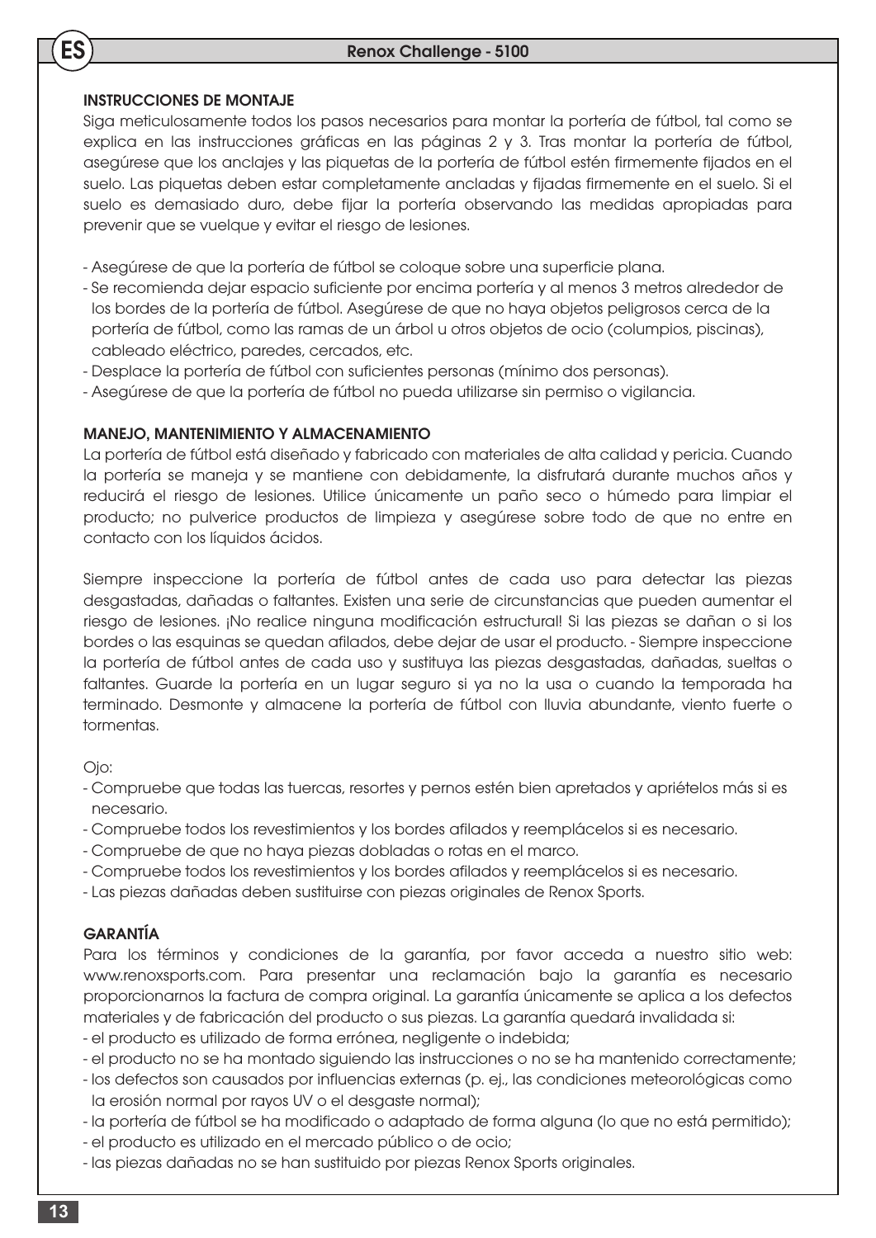## INSTRUCCIONES DE MONTAJE

ES

Siga meticulosamente todos los pasos necesarios para montar la portería de fútbol, tal como se explica en las instrucciones gráficas en las páginas 2 y 3. Tras montar la portería de fútbol, asegúrese que los anclajes y las piquetas de la portería de fútbol estén firmemente fijados en el suelo. Las piquetas deben estar completamente ancladas y fijadas firmemente en el suelo. Si el suelo es demasiado duro, debe fijar la portería observando las medidas apropiadas para prevenir que se vuelque y evitar el riesgo de lesiones.

- Asegúrese de que la portería de fútbol se coloque sobre una superficie plana.
- Se recomienda dejar espacio suficiente por encima portería y al menos 3 metros alrededor de los bordes de la portería de fútbol. Asegúrese de que no haya objetos peligrosos cerca de la portería de fútbol, como las ramas de un árbol u otros objetos de ocio (columpios, piscinas), cableado eléctrico, paredes, cercados, etc.
- Desplace la portería de fútbol con suficientes personas (mínimo dos personas).
- Asegúrese de que la portería de fútbol no pueda utilizarse sin permiso o vigilancia.

#### MANEJO, MANTENIMIENTO Y ALMACENAMIENTO

La portería de fútbol está diseñado y fabricado con materiales de alta calidad y pericia. Cuando la portería se maneja y se mantiene con debidamente, la disfrutará durante muchos años y reducirá el riesgo de lesiones. Utilice únicamente un paño seco o húmedo para limpiar el producto; no pulverice productos de limpieza y asegúrese sobre todo de que no entre en contacto con los líquidos ácidos.

Siempre inspeccione la portería de fútbol antes de cada uso para detectar las piezas desgastadas, dañadas o faltantes. Existen una serie de circunstancias que pueden aumentar el riesgo de lesiones. ¡No realice ninguna modificación estructural! Si las piezas se dañan o si los bordes o las esquinas se quedan afilados, debe dejar de usar el producto. - Siempre inspeccione la portería de fútbol antes de cada uso y sustituya las piezas desgastadas, dañadas, sueltas o faltantes. Guarde la portería en un lugar seguro si ya no la usa o cuando la temporada ha terminado. Desmonte y almacene la portería de fútbol con lluvia abundante, viento fuerte o tormentas.

Ojo:

- Compruebe que todas las tuercas, resortes y pernos estén bien apretados y apriételos más si es necesario.
- Compruebe todos los revestimientos y los bordes afilados y reemplácelos si es necesario.
- Compruebe de que no haya piezas dobladas o rotas en el marco.
- Compruebe todos los revestimientos y los bordes afilados y reemplácelos si es necesario.
- Las piezas dañadas deben sustituirse con piezas originales de Renox Sports.

## GARANTÍA

Para los términos y condiciones de la garantía, por favor acceda a nuestro sitio web: www.renoxsports.com. Para presentar una reclamación bajo la garantía es necesario proporcionarnos la factura de compra original. La garantía únicamente se aplica a los defectos materiales y de fabricación del producto o sus piezas. La garantía quedará invalidada si:

- el producto es utilizado de forma errónea, negligente o indebida;
- el producto no se ha montado siguiendo las instrucciones o no se ha mantenido correctamente;
- los defectos son causados por influencias externas (p. ej., las condiciones meteorológicas como la erosión normal por rayos UV o el desgaste normal);
- la portería de fútbol se ha modificado o adaptado de forma alguna (lo que no está permitido);
- el producto es utilizado en el mercado público o de ocio;
- las piezas dañadas no se han sustituido por piezas Renox Sports originales.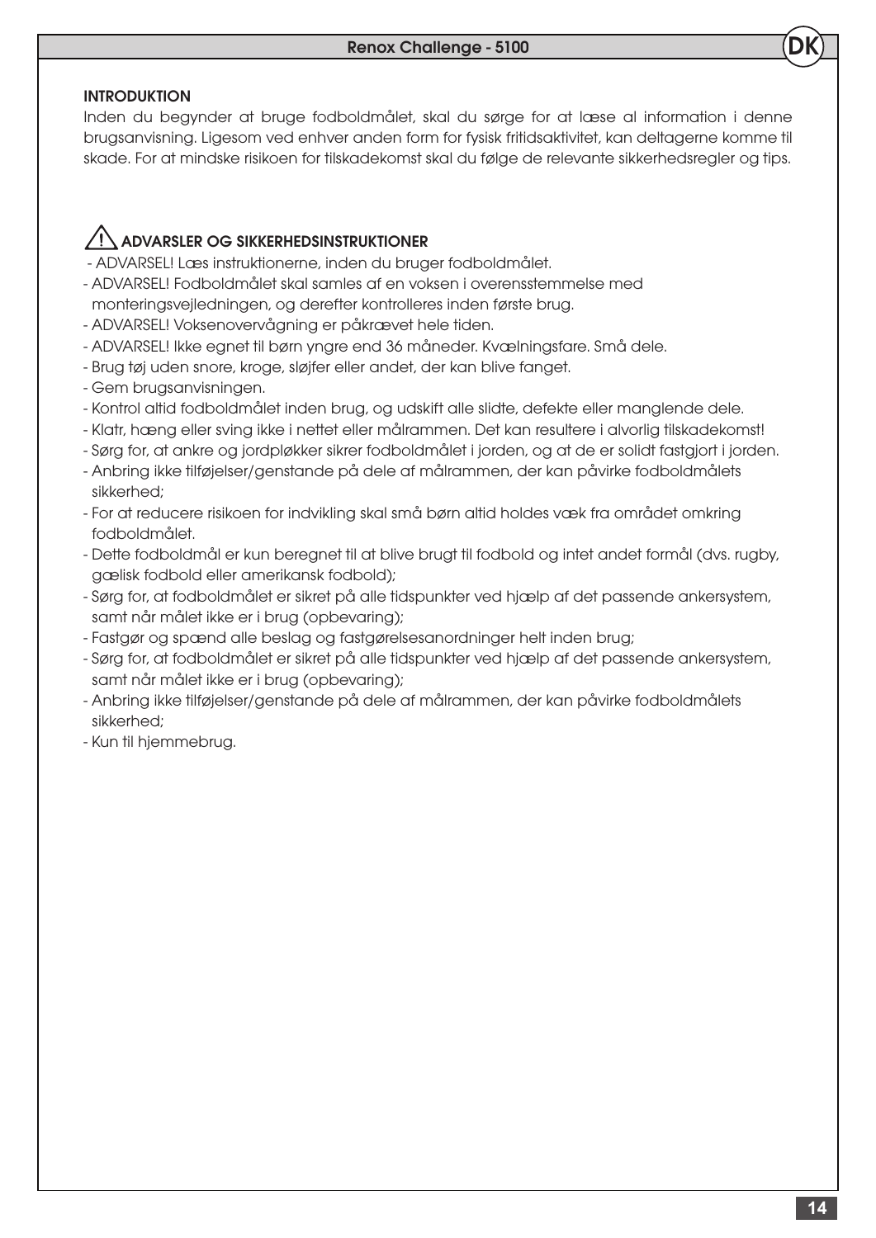## INTRODUKTION

Inden du begynder at bruge fodboldmålet, skal du sørge for at læse al information i denne brugsanvisning. Ligesom ved enhver anden form for fysisk fritidsaktivitet, kan deltagerne komme til skade. For at mindske risikoen for tilskadekomst skal du følge de relevante sikkerhedsregler og tips.

## ADVARSLER OG SIKKERHEDSINSTRUKTIONER

- ADVARSEL! Læs instruktionerne, inden du bruger fodboldmålet.
- ADVARSEL! Fodboldmålet skal samles af en voksen i overensstemmelse med
- monteringsvejledningen, og derefter kontrolleres inden første brug.
- ADVARSEL! Voksenovervågning er påkrævet hele tiden.
- ADVARSEL! Ikke egnet til børn yngre end 36 måneder. Kvælningsfare. Små dele.
- Brug tøj uden snore, kroge, sløjfer eller andet, der kan blive fanget.
- Gem brugsanvisningen.
- Kontrol altid fodboldmålet inden brug, og udskift alle slidte, defekte eller manglende dele.
- Klatr, hæng eller sving ikke i nettet eller målrammen. Det kan resultere i alvorlig tilskadekomst!
- Sørg for, at ankre og jordpløkker sikrer fodboldmålet i jorden, og at de er solidt fastgjort i jorden.
- Anbring ikke tilføjelser/genstande på dele af målrammen, der kan påvirke fodboldmålets sikkerhed;
- For at reducere risikoen for indvikling skal små børn altid holdes væk fra området omkring fodboldmålet.
- Dette fodboldmål er kun beregnet til at blive brugt til fodbold og intet andet formål (dvs. rugby, gælisk fodbold eller amerikansk fodbold);
- Sørg for, at fodboldmålet er sikret på alle tidspunkter ved hjælp af det passende ankersystem, samt når målet ikke er i brug (opbevaring);
- Fastgør og spænd alle beslag og fastgørelsesanordninger helt inden brug;
- Sørg for, at fodboldmålet er sikret på alle tidspunkter ved hjælp af det passende ankersystem, samt når målet ikke er i brug (opbevaring);
- Anbring ikke tilføjelser/genstande på dele af målrammen, der kan påvirke fodboldmålets sikkerhed;
- Kun til hjemmebrug.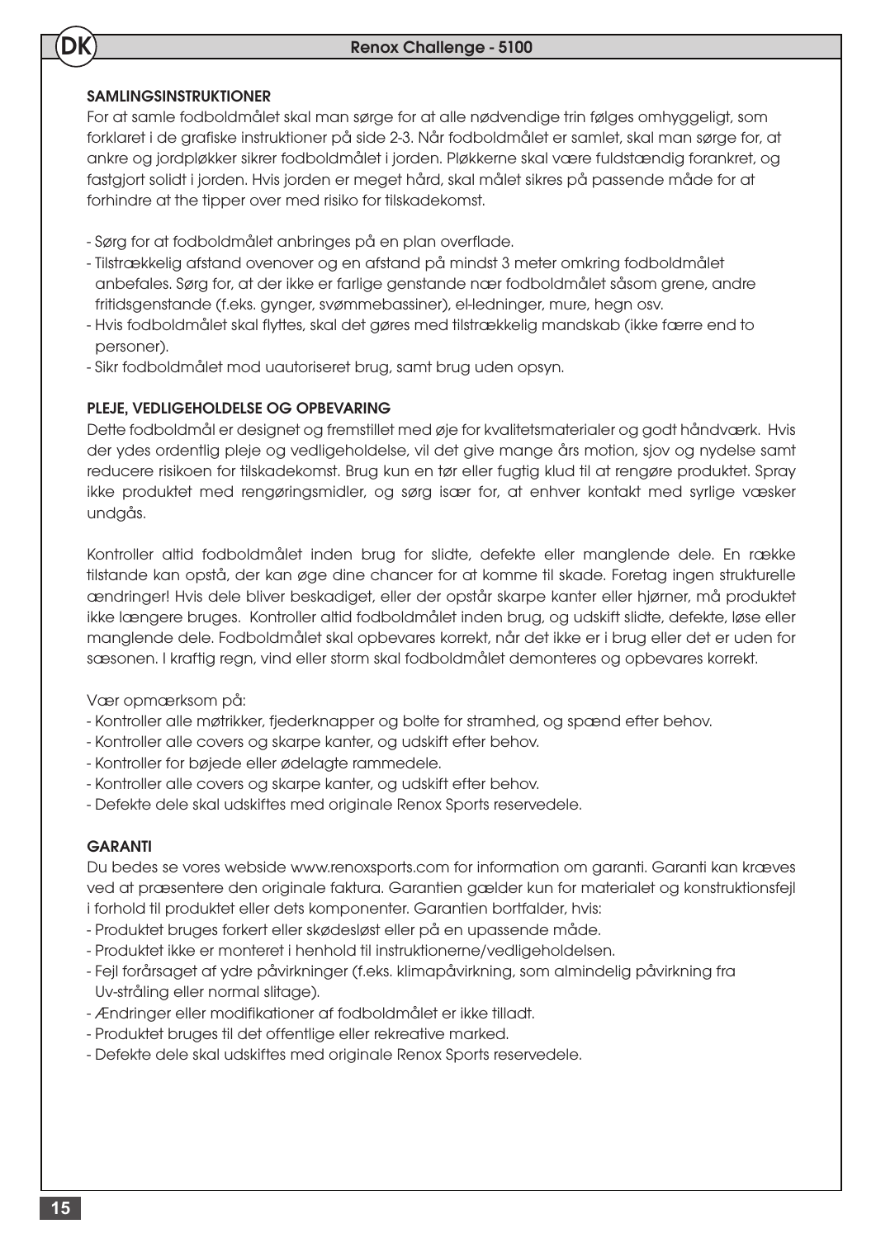## SAMLINGSINSTRUKTIONER

**DK** 

For at samle fodboldmålet skal man sørge for at alle nødvendige trin følges omhyggeligt, som forklaret i de grafiske instruktioner på side 2-3. Når fodboldmålet er samlet, skal man sørge for, at ankre og jordpløkker sikrer fodboldmålet i jorden. Pløkkerne skal være fuldstændig forankret, og fastgjort solidt i jorden. Hvis jorden er meget hård, skal målet sikres på passende måde for at forhindre at the tipper over med risiko for tilskadekomst.

- Sørg for at fodboldmålet anbringes på en plan overflade.
- Tilstrækkelig afstand ovenover og en afstand på mindst 3 meter omkring fodboldmålet anbefales. Sørg for, at der ikke er farlige genstande nær fodboldmålet såsom grene, andre fritidsgenstande (f.eks. gynger, svømmebassiner), el-ledninger, mure, hegn osv.
- Hvis fodboldmålet skal flyttes, skal det gøres med tilstrækkelig mandskab (ikke færre end to personer).
- Sikr fodboldmålet mod uautoriseret brug, samt brug uden opsyn.

## PLEJE, VEDLIGEHOLDELSE OG OPBEVARING

Dette fodboldmål er designet og fremstillet med øje for kvalitetsmaterialer og godt håndværk. Hvis der ydes ordentlig pleje og vedligeholdelse, vil det give mange års motion, sjov og nydelse samt reducere risikoen for tilskadekomst. Brug kun en tør eller fugtig klud til at rengøre produktet. Spray ikke produktet med rengøringsmidler, og sørg især for, at enhver kontakt med syrlige væsker undgås.

Kontroller altid fodboldmålet inden brug for slidte, defekte eller manglende dele. En række tilstande kan opstå, der kan øge dine chancer for at komme til skade. Foretag ingen strukturelle ændringer! Hvis dele bliver beskadiget, eller der opstår skarpe kanter eller hjørner, må produktet ikke længere bruges. Kontroller altid fodboldmålet inden brug, og udskift slidte, defekte, løse eller manglende dele. Fodboldmålet skal opbevares korrekt, når det ikke er i brug eller det er uden for sæsonen. I kraftig regn, vind eller storm skal fodboldmålet demonteres og opbevares korrekt.

Vær opmærksom på:

- Kontroller alle møtrikker, fjederknapper og bolte for stramhed, og spænd efter behov.
- Kontroller alle covers og skarpe kanter, og udskift efter behov.
- Kontroller for bøjede eller ødelagte rammedele.
- Kontroller alle covers og skarpe kanter, og udskift efter behov.
- Defekte dele skal udskiftes med originale Renox Sports reservedele.

## **GARANTI**

Du bedes se vores webside www.renoxsports.com for information om garanti. Garanti kan kræves ved at præsentere den originale faktura. Garantien gælder kun for materialet og konstruktionsfejl i forhold til produktet eller dets komponenter. Garantien bortfalder, hvis:

- Produktet bruges forkert eller skødesløst eller på en upassende måde.
- Produktet ikke er monteret i henhold til instruktionerne/vedligeholdelsen.
- Fejl forårsaget af ydre påvirkninger (f.eks. klimapåvirkning, som almindelig påvirkning fra Uv-stråling eller normal slitage).
- Ændringer eller modifikationer af fodboldmålet er ikke tilladt.
- Produktet bruges til det offentlige eller rekreative marked.
- Defekte dele skal udskiftes med originale Renox Sports reservedele.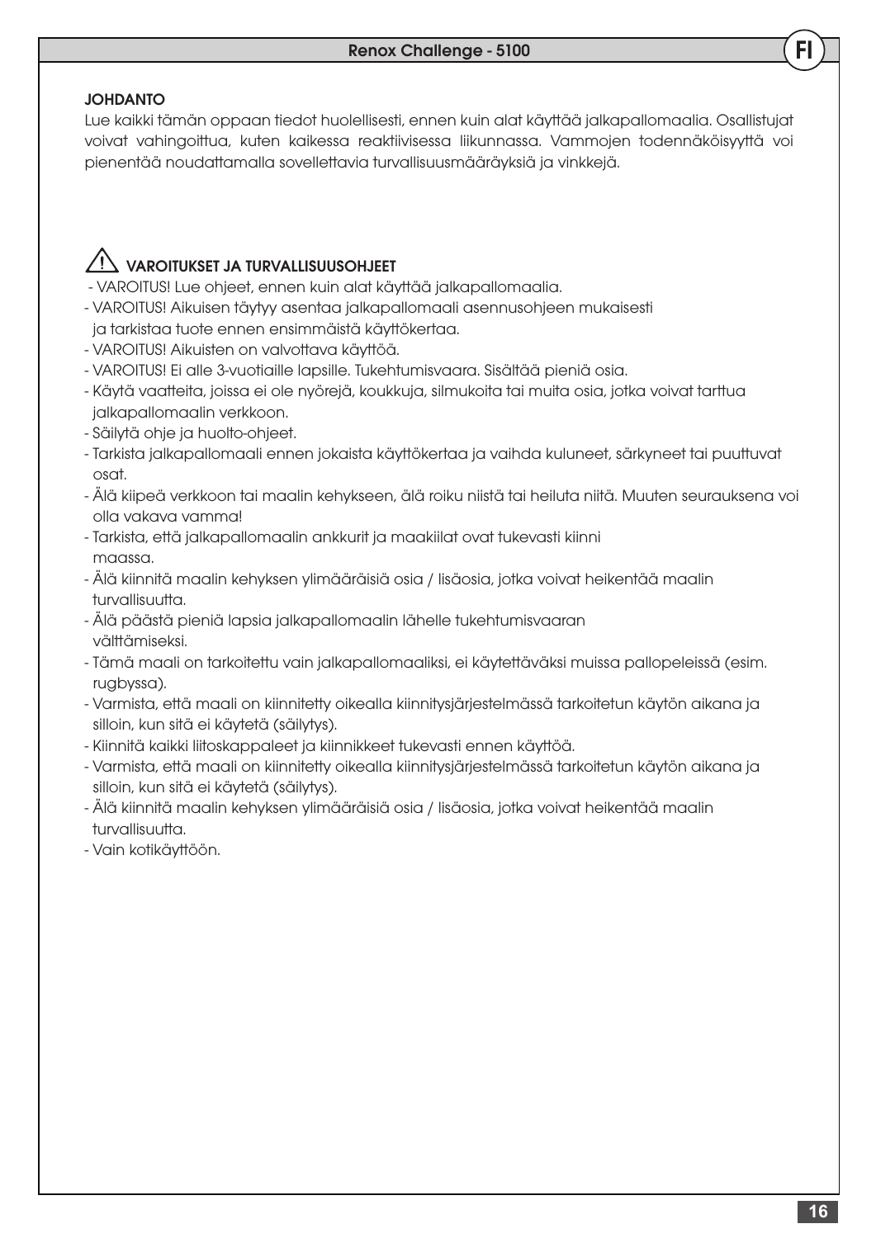#### JOHDANTO

Lue kaikki tämän oppaan tiedot huolellisesti, ennen kuin alat käyttää jalkapallomaalia. Osallistujat voivat vahingoittua, kuten kaikessa reaktiivisessa liikunnassa. Vammojen todennäköisyyttä voi pienentää noudattamalla sovellettavia turvallisuusmääräyksiä ja vinkkejä.

## $\angle$ ! VAROITUKSET JA TURVALLISUUSOHJEET

- VAROITUS! Lue ohjeet, ennen kuin alat käyttää jalkapallomaalia.
- VAROITUS! Aikuisen täytyy asentaa jalkapallomaali asennusohjeen mukaisesti ja tarkistaa tuote ennen ensimmäistä käyttökertaa.
- VAROITUS! Aikuisten on valvottava käyttöä.
- VAROITUS! Ei alle 3-vuotiaille lapsille. Tukehtumisvaara. Sisältää pieniä osia.
- Käytä vaatteita, joissa ei ole nyörejä, koukkuja, silmukoita tai muita osia, jotka voivat tarttua jalkapallomaalin verkkoon.
- Säilytä ohje ja huolto-ohjeet.
- Tarkista jalkapallomaali ennen jokaista käyttökertaa ja vaihda kuluneet, särkyneet tai puuttuvat osat.
- Älä kiipeä verkkoon tai maalin kehykseen, älä roiku niistä tai heiluta niitä. Muuten seurauksena voi olla vakava vamma!
- Tarkista, että jalkapallomaalin ankkurit ja maakiilat ovat tukevasti kiinni maassa.
- Älä kiinnitä maalin kehyksen ylimääräisiä osia / lisäosia, jotka voivat heikentää maalin turvallisuutta.
- Älä päästä pieniä lapsia jalkapallomaalin lähelle tukehtumisvaaran välttämiseksi.
- Tämä maali on tarkoitettu vain jalkapallomaaliksi, ei käytettäväksi muissa pallopeleissä (esim. rugbyssa).
- Varmista, että maali on kiinnitetty oikealla kiinnitysjärjestelmässä tarkoitetun käytön aikana ja silloin, kun sitä ei käytetä (säilytys).
- Kiinnitä kaikki liitoskappaleet ja kiinnikkeet tukevasti ennen käyttöä.
- Varmista, että maali on kiinnitetty oikealla kiinnitysjärjestelmässä tarkoitetun käytön aikana ja silloin, kun sitä ei käytetä (säilytys).
- Älä kiinnitä maalin kehyksen ylimääräisiä osia / lisäosia, jotka voivat heikentää maalin turvallisuutta.
- Vain kotikäyttöön.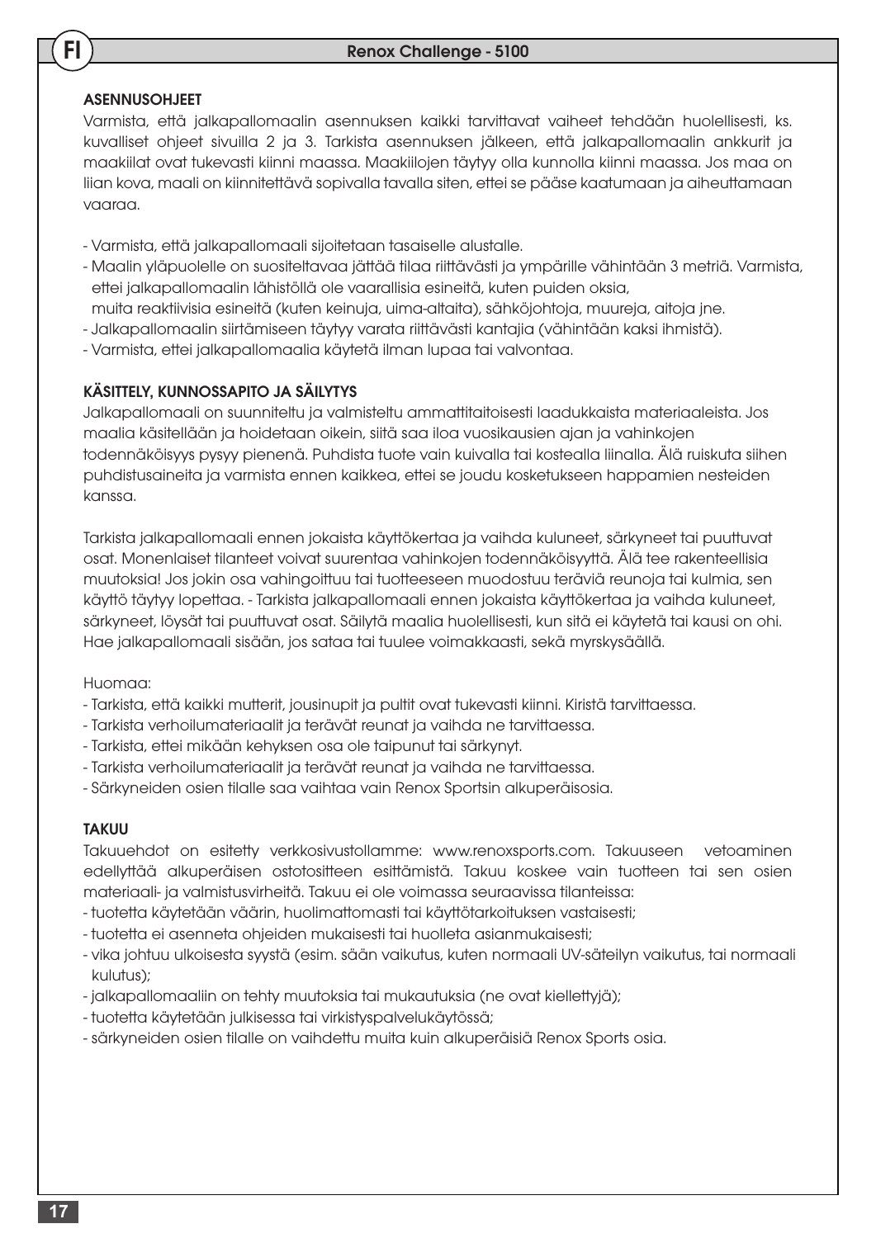## **ASENNUSOHJEET**

FI

Varmista, että jalkapallomaalin asennuksen kaikki tarvittavat vaiheet tehdään huolellisesti, ks. kuvalliset ohjeet sivuilla 2 ja 3. Tarkista asennuksen jälkeen, että jalkapallomaalin ankkurit ja maakiilat ovat tukevasti kiinni maassa. Maakiilojen täytyy olla kunnolla kiinni maassa. Jos maa on liian kova, maali on kiinnitettävä sopivalla tavalla siten, ettei se pääse kaatumaan ja aiheuttamaan vaaraa.

- Varmista, että jalkapallomaali sijoitetaan tasaiselle alustalle.
- Maalin yläpuolelle on suositeltavaa jättää tilaa riittävästi ja ympärille vähintään 3 metriä. Varmista, ettei jalkapallomaalin lähistöllä ole vaarallisia esineitä, kuten puiden oksia,
- muita reaktiivisia esineitä (kuten keinuja, uima-altaita), sähköjohtoja, muureja, aitoja jne.
- Jalkapallomaalin siirtämiseen täytyy varata riittävästi kantajia (vähintään kaksi ihmistä).
- Varmista, ettei jalkapallomaalia käytetä ilman lupaa tai valvontaa.

## KÄSITTELY, KUNNOSSAPITO JA SÄILYTYS

Jalkapallomaali on suunniteltu ja valmisteltu ammattitaitoisesti laadukkaista materiaaleista. Jos maalia käsitellään ja hoidetaan oikein, siitä saa iloa vuosikausien ajan ja vahinkojen todennäköisyys pysyy pienenä. Puhdista tuote vain kuivalla tai kostealla liinalla. Älä ruiskuta siihen puhdistusaineita ja varmista ennen kaikkea, ettei se joudu kosketukseen happamien nesteiden kanssa.

Tarkista jalkapallomaali ennen jokaista käyttökertaa ja vaihda kuluneet, särkyneet tai puuttuvat osat. Monenlaiset tilanteet voivat suurentaa vahinkojen todennäköisyyttä. Älä tee rakenteellisia muutoksia! Jos jokin osa vahingoittuu tai tuotteeseen muodostuu teräviä reunoja tai kulmia, sen käyttö täytyy lopettaa. - Tarkista jalkapallomaali ennen jokaista käyttökertaa ja vaihda kuluneet, särkyneet, löysät tai puuttuvat osat. Säilytä maalia huolellisesti, kun sitä ei käytetä tai kausi on ohi. Hae jalkapallomaali sisään, jos sataa tai tuulee voimakkaasti, sekä myrskysäällä.

## Huomaa:

- Tarkista, että kaikki mutterit, jousinupit ja pultit ovat tukevasti kiinni. Kiristä tarvittaessa.
- Tarkista verhoilumateriaalit ja terävät reunat ja vaihda ne tarvittaessa.
- Tarkista, ettei mikään kehyksen osa ole taipunut tai särkynyt.
- Tarkista verhoilumateriaalit ja terävät reunat ja vaihda ne tarvittaessa.
- Särkyneiden osien tilalle saa vaihtaa vain Renox Sportsin alkuperäisosia.

## TAKUU

Takuuehdot on esitetty verkkosivustollamme: www.renoxsports.com. Takuuseen vetoaminen edellyttää alkuperäisen ostotositteen esittämistä. Takuu koskee vain tuotteen tai sen osien materiaali- ja valmistusvirheitä. Takuu ei ole voimassa seuraavissa tilanteissa:

- tuotetta käytetään väärin, huolimattomasti tai käyttötarkoituksen vastaisesti;
- tuotetta ei asenneta ohjeiden mukaisesti tai huolleta asianmukaisesti;
- vika johtuu ulkoisesta syystä (esim. sään vaikutus, kuten normaali UV-säteilyn vaikutus, tai normaali kulutus);
- jalkapallomaaliin on tehty muutoksia tai mukautuksia (ne ovat kiellettyjä);
- tuotetta käytetään julkisessa tai virkistyspalvelukäytössä;
- särkyneiden osien tilalle on vaihdettu muita kuin alkuperäisiä Renox Sports osia.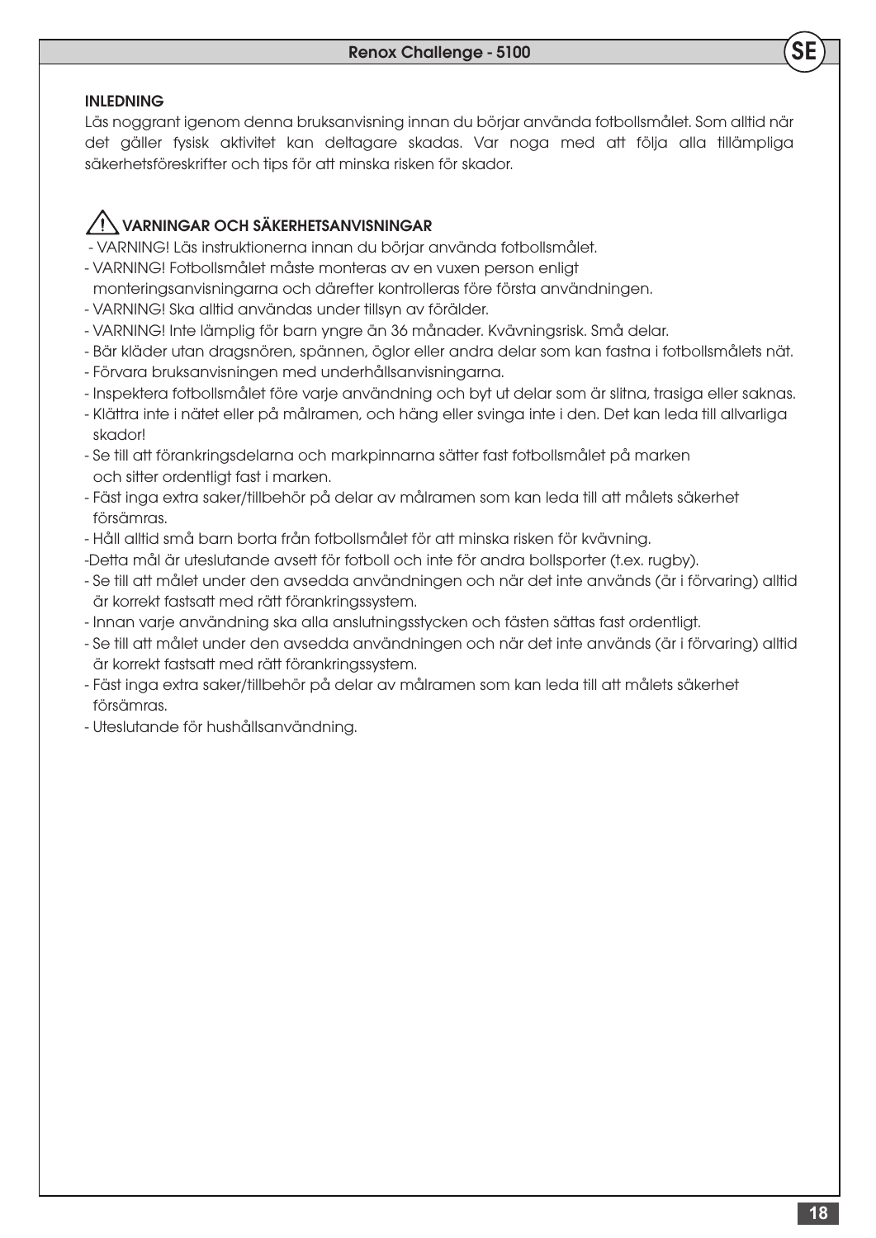#### INLEDNING

Läs noggrant igenom denna bruksanvisning innan du börjar använda fotbollsmålet. Som alltid när det gäller fysisk aktivitet kan deltagare skadas. Var noga med att följa alla tillämpliga säkerhetsföreskrifter och tips för att minska risken för skador.

## VARNINGAR OCH SÄKERHETSANVISNINGAR

- VARNING! Läs instruktionerna innan du börjar använda fotbollsmålet.
- VARNING! Fotbollsmålet måste monteras av en vuxen person enligt
- monteringsanvisningarna och därefter kontrolleras före första användningen.
- VARNING! Ska alltid användas under tillsyn av förälder.
- VARNING! Inte lämplig för barn yngre än 36 månader. Kvävningsrisk. Små delar.
- Bär kläder utan dragsnören, spännen, öglor eller andra delar som kan fastna i fotbollsmålets nät.
- Förvara bruksanvisningen med underhållsanvisningarna.
- Inspektera fotbollsmålet före varje användning och byt ut delar som är slitna, trasiga eller saknas.
- Klättra inte i nätet eller på målramen, och häng eller svinga inte i den. Det kan leda till allvarliga skador!
- Se till att förankringsdelarna och markpinnarna sätter fast fotbollsmålet på marken och sitter ordentligt fast i marken.
- Fäst inga extra saker/tillbehör på delar av målramen som kan leda till att målets säkerhet försämras.
- Håll alltid små barn borta från fotbollsmålet för att minska risken för kvävning.
- -Detta mål är uteslutande avsett för fotboll och inte för andra bollsporter (t.ex. rugby).
- Se till att målet under den avsedda användningen och när det inte används (är i förvaring) alltid är korrekt fastsatt med rätt förankringssystem.
- Innan varje användning ska alla anslutningsstycken och fästen sättas fast ordentligt.
- Se till att målet under den avsedda användningen och när det inte används (är i förvaring) alltid är korrekt fastsatt med rätt förankringssystem.
- Fäst inga extra saker/tillbehör på delar av målramen som kan leda till att målets säkerhet försämras.
- Uteslutande för hushållsanvändning.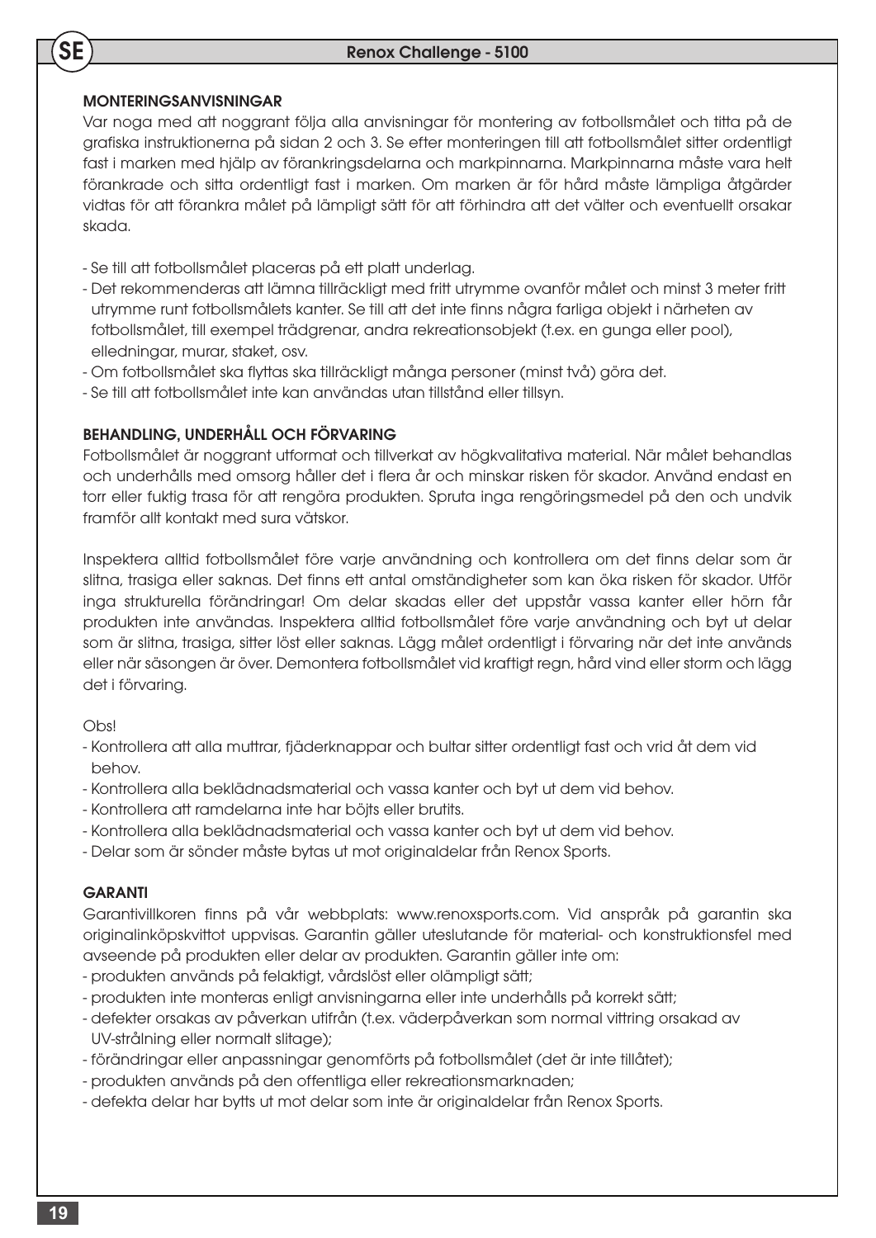### MONTERINGSANVISNINGAR

**SE** 

Var noga med att noggrant följa alla anvisningar för montering av fotbollsmålet och titta på de grafiska instruktionerna på sidan 2 och 3. Se efter monteringen till att fotbollsmålet sitter ordentligt fast i marken med hjälp av förankringsdelarna och markpinnarna. Markpinnarna måste vara helt förankrade och sitta ordentligt fast i marken. Om marken är för hård måste lämpliga åtgärder vidtas för att förankra målet på lämpligt sätt för att förhindra att det välter och eventuellt orsakar skada.

- Se till att fotbollsmålet placeras på ett platt underlag.
- Det rekommenderas att lämna tillräckligt med fritt utrymme ovanför målet och minst 3 meter fritt utrymme runt fotbollsmålets kanter. Se till att det inte finns några farliga objekt i närheten av fotbollsmålet, till exempel trädgrenar, andra rekreationsobjekt (t.ex. en gunga eller pool), elledningar, murar, staket, osv.
- Om fotbollsmålet ska flyttas ska tillräckligt många personer (minst två) göra det.
- Se till att fotbollsmålet inte kan användas utan tillstånd eller tillsyn.

## BEHANDLING, UNDERHÅLL OCH FÖRVARING

Fotbollsmålet är noggrant utformat och tillverkat av högkvalitativa material. När målet behandlas och underhålls med omsorg håller det i flera år och minskar risken för skador. Använd endast en torr eller fuktig trasa för att rengöra produkten. Spruta inga rengöringsmedel på den och undvik framför allt kontakt med sura vätskor.

Inspektera alltid fotbollsmålet före varje användning och kontrollera om det finns delar som är slitna, trasiga eller saknas. Det finns ett antal omständigheter som kan öka risken för skador. Utför inga strukturella förändringar! Om delar skadas eller det uppstår vassa kanter eller hörn får produkten inte användas. Inspektera alltid fotbollsmålet före varje användning och byt ut delar som är slitna, trasiga, sitter löst eller saknas. Lägg målet ordentligt i förvaring när det inte används eller när säsongen är över. Demontera fotbollsmålet vid kraftigt regn, hård vind eller storm och lägg det i förvaring.

#### Obs!

- Kontrollera att alla muttrar, fjäderknappar och bultar sitter ordentligt fast och vrid åt dem vid behov.
- Kontrollera alla beklädnadsmaterial och vassa kanter och byt ut dem vid behov.
- Kontrollera att ramdelarna inte har böjts eller brutits.
- Kontrollera alla beklädnadsmaterial och vassa kanter och byt ut dem vid behov.
- Delar som är sönder måste bytas ut mot originaldelar från Renox Sports.

#### **GARANTI**

Garantivillkoren finns på vår webbplats: www.renoxsports.com. Vid anspråk på garantin ska originalinköpskvittot uppvisas. Garantin gäller uteslutande för material- och konstruktionsfel med avseende på produkten eller delar av produkten. Garantin gäller inte om:

- produkten används på felaktigt, vårdslöst eller olämpligt sätt;
- produkten inte monteras enligt anvisningarna eller inte underhålls på korrekt sätt;
- defekter orsakas av påverkan utifrån (t.ex. väderpåverkan som normal vittring orsakad av UV-strålning eller normalt slitage);
- förändringar eller anpassningar genomförts på fotbollsmålet (det är inte tillåtet);
- produkten används på den offentliga eller rekreationsmarknaden;
- defekta delar har bytts ut mot delar som inte är originaldelar från Renox Sports.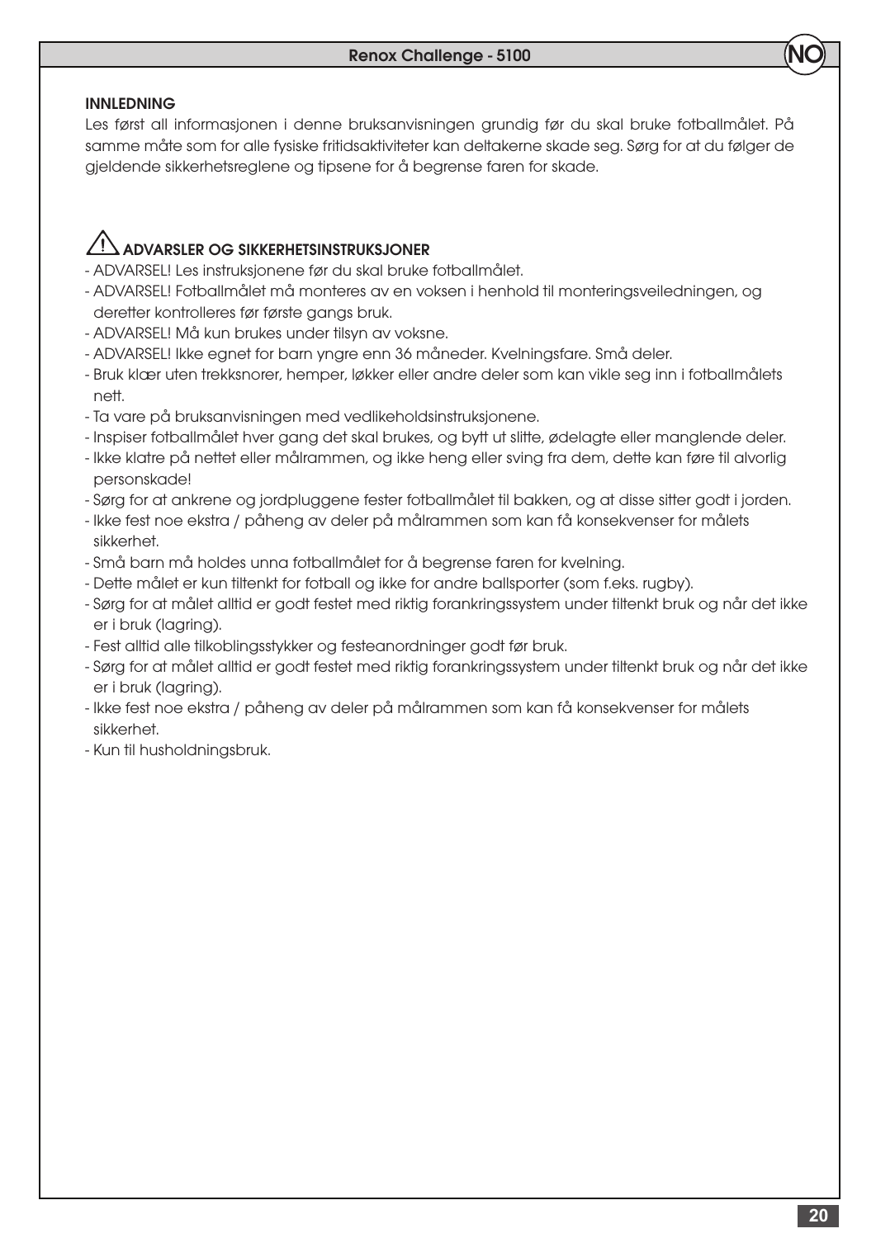## INNLEDNING

Les først all informasjonen i denne bruksanvisningen grundig før du skal bruke fotballmålet. På samme måte som for alle fysiske fritidsaktiviteter kan deltakerne skade seg. Sørg for at du følger de gjeldende sikkerhetsreglene og tipsene for å begrense faren for skade.

## ADVARSLER OG SIKKERHETSINSTRUKSJONER

- ADVARSEL! Les instruksjonene før du skal bruke fotballmålet.
- ADVARSEL! Fotballmålet må monteres av en voksen i henhold til monteringsveiledningen, og deretter kontrolleres før første gangs bruk.
- ADVARSEL! Må kun brukes under tilsyn av voksne.
- ADVARSEL! Ikke egnet for barn yngre enn 36 måneder. Kvelningsfare. Små deler.
- Bruk klær uten trekksnorer, hemper, løkker eller andre deler som kan vikle seg inn i fotballmålets nett.
- Ta vare på bruksanvisningen med vedlikeholdsinstruksjonene.
- Inspiser fotballmålet hver gang det skal brukes, og bytt ut slitte, ødelagte eller manglende deler.
- Ikke klatre på nettet eller målrammen, og ikke heng eller sving fra dem, dette kan føre til alvorlig personskade!
- Sørg for at ankrene og jordpluggene fester fotballmålet til bakken, og at disse sitter godt i jorden.
- Ikke fest noe ekstra / påheng av deler på målrammen som kan få konsekvenser for målets sikkerhet.
- Små barn må holdes unna fotballmålet for å begrense faren for kvelning.
- Dette målet er kun tiltenkt for fotball og ikke for andre ballsporter (som f.eks. rugby).
- Sørg for at målet alltid er godt festet med riktig forankringssystem under tiltenkt bruk og når det ikke er i bruk (lagring).
- Fest alltid alle tilkoblingsstykker og festeanordninger godt før bruk.
- Sørg for at målet alltid er godt festet med riktig forankringssystem under tiltenkt bruk og når det ikke er i bruk (lagring).
- Ikke fest noe ekstra / påheng av deler på målrammen som kan få konsekvenser for målets sikkerhet.
- Kun til husholdningsbruk.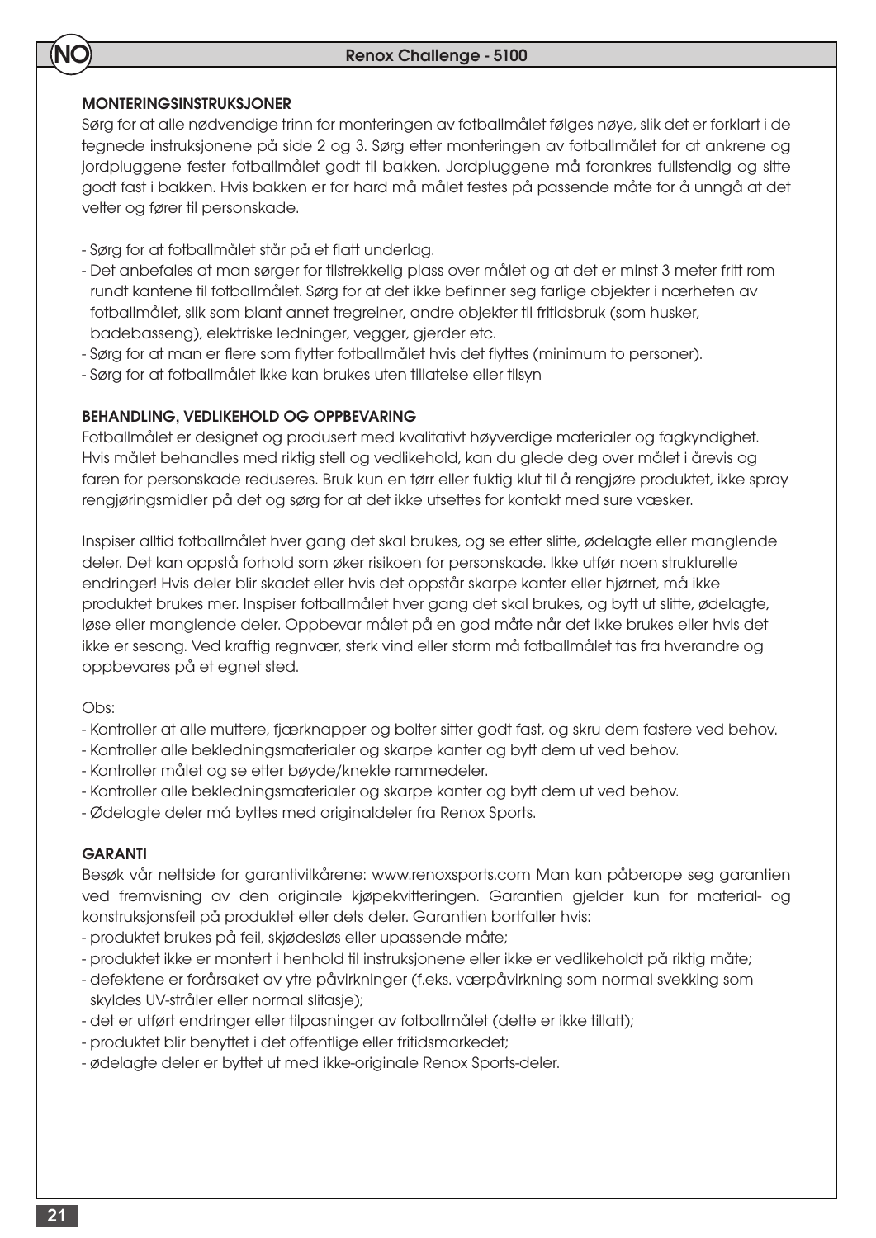### MONTERINGSINSTRUKSJONER

NO

Sørg for at alle nødvendige trinn for monteringen av fotballmålet følges nøye, slik det er forklart i de tegnede instruksjonene på side 2 og 3. Sørg etter monteringen av fotballmålet for at ankrene og jordpluggene fester fotballmålet godt til bakken. Jordpluggene må forankres fullstendig og sitte godt fast i bakken. Hvis bakken er for hard må målet festes på passende måte for å unngå at det velter og fører til personskade.

- Sørg for at fotballmålet står på et flatt underlag.
- Det anbefales at man sørger for tilstrekkelig plass over målet og at det er minst 3 meter fritt rom rundt kantene til fotballmålet. Sørg for at det ikke befinner seg farlige objekter i nærheten av fotballmålet, slik som blant annet tregreiner, andre objekter til fritidsbruk (som husker, badebasseng), elektriske ledninger, vegger, gjerder etc.
- Sørg for at man er flere som flytter fotballmålet hvis det flyttes (minimum to personer).
- Sørg for at fotballmålet ikke kan brukes uten tillatelse eller tilsyn

#### BEHANDLING, VEDLIKEHOLD OG OPPBEVARING

Fotballmålet er designet og produsert med kvalitativt høyverdige materialer og fagkyndighet. Hvis målet behandles med riktig stell og vedlikehold, kan du glede deg over målet i årevis og faren for personskade reduseres. Bruk kun en tørr eller fuktig klut til å rengjøre produktet, ikke spray rengjøringsmidler på det og sørg for at det ikke utsettes for kontakt med sure væsker.

Inspiser alltid fotballmålet hver gang det skal brukes, og se etter slitte, ødelagte eller manglende deler. Det kan oppstå forhold som øker risikoen for personskade. Ikke utfør noen strukturelle endringer! Hvis deler blir skadet eller hvis det oppstår skarpe kanter eller hjørnet, må ikke produktet brukes mer. Inspiser fotballmålet hver gang det skal brukes, og bytt ut slitte, ødelagte, løse eller manglende deler. Oppbevar målet på en god måte når det ikke brukes eller hvis det ikke er sesong. Ved kraftig regnvær, sterk vind eller storm må fotballmålet tas fra hverandre og oppbevares på et egnet sted.

#### Obs:

- Kontroller at alle muttere, fjærknapper og bolter sitter godt fast, og skru dem fastere ved behov.
- Kontroller alle bekledningsmaterialer og skarpe kanter og bytt dem ut ved behov.
- Kontroller målet og se etter bøyde/knekte rammedeler.
- Kontroller alle bekledningsmaterialer og skarpe kanter og bytt dem ut ved behov.
- Ødelagte deler må byttes med originaldeler fra Renox Sports.

#### GARANTI

Besøk vår nettside for garantivilkårene: www.renoxsports.com Man kan påberope seg garantien ved fremvisning av den originale kjøpekvitteringen. Garantien gjelder kun for material- og konstruksjonsfeil på produktet eller dets deler. Garantien bortfaller hvis:

- produktet brukes på feil, skjødesløs eller upassende måte;
- produktet ikke er montert i henhold til instruksjonene eller ikke er vedlikeholdt på riktig måte;
- defektene er forårsaket av ytre påvirkninger (f.eks. værpåvirkning som normal svekking som skyldes UV-stråler eller normal slitasje);
- det er utført endringer eller tilpasninger av fotballmålet (dette er ikke tillatt);
- produktet blir benyttet i det offentlige eller fritidsmarkedet;
- ødelagte deler er byttet ut med ikke-originale Renox Sports-deler.